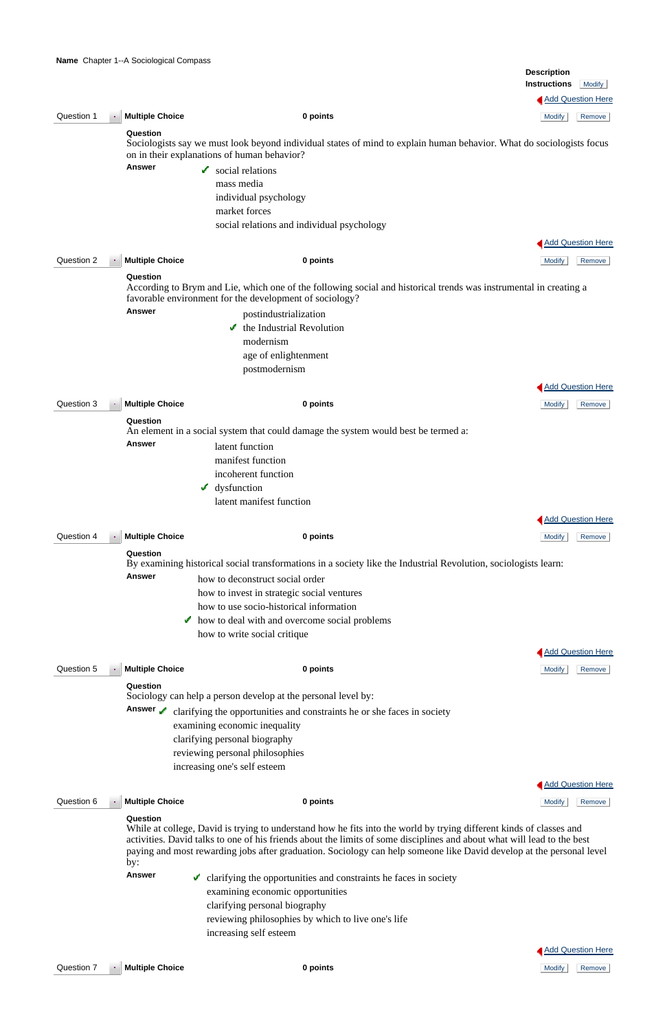|            |                                         |                                                                                                                                                                                                            | <b>Description</b><br><b>Instructions</b><br><b>Modify</b> |
|------------|-----------------------------------------|------------------------------------------------------------------------------------------------------------------------------------------------------------------------------------------------------------|------------------------------------------------------------|
|            |                                         |                                                                                                                                                                                                            | Add Question Here                                          |
| Question 1 | <b>Multiple Choice</b><br>$\mathcal{A}$ | 0 points                                                                                                                                                                                                   | <b>Modify</b><br>Remove                                    |
|            | Question                                | Sociologists say we must look beyond individual states of mind to explain human behavior. What do sociologists focus<br>on in their explanations of human behavior?                                        |                                                            |
|            | <b>Answer</b>                           | $\sim$ social relations<br>mass media<br>individual psychology<br>market forces                                                                                                                            |                                                            |
|            |                                         | social relations and individual psychology                                                                                                                                                                 |                                                            |
|            |                                         |                                                                                                                                                                                                            | <b>Add Question Here</b>                                   |
| Question 2 | <b>Multiple Choice</b>                  | 0 points                                                                                                                                                                                                   | <b>Modify</b><br>Remove                                    |
|            | Question                                | According to Brym and Lie, which one of the following social and historical trends was instrumental in creating a<br>favorable environment for the development of sociology?                               |                                                            |
|            | <b>Answer</b>                           | postindustrialization                                                                                                                                                                                      |                                                            |
|            |                                         | the Industrial Revolution                                                                                                                                                                                  |                                                            |
|            |                                         | modernism                                                                                                                                                                                                  |                                                            |
|            |                                         | age of enlightenment<br>postmodernism                                                                                                                                                                      |                                                            |
|            |                                         |                                                                                                                                                                                                            |                                                            |
|            |                                         |                                                                                                                                                                                                            | <b>Add Question Here</b>                                   |
| Question 3 | <b>Multiple Choice</b>                  | 0 points                                                                                                                                                                                                   | <b>Modify</b><br>Remove                                    |
|            | Question                                | An element in a social system that could damage the system would best be termed a:                                                                                                                         |                                                            |
|            | Answer                                  | latent function                                                                                                                                                                                            |                                                            |
|            |                                         | manifest function                                                                                                                                                                                          |                                                            |
|            |                                         | incoherent function                                                                                                                                                                                        |                                                            |
|            |                                         | $\boldsymbol{\checkmark}$ dysfunction                                                                                                                                                                      |                                                            |
|            |                                         | latent manifest function                                                                                                                                                                                   |                                                            |
|            |                                         |                                                                                                                                                                                                            | Add Question Here                                          |
| Question 4 | <b>Multiple Choice</b>                  | 0 points                                                                                                                                                                                                   | <b>Modify</b><br>Remove                                    |
|            | Question                                | By examining historical social transformations in a society like the Industrial Revolution, sociologists learn:                                                                                            |                                                            |
|            | <b>Answer</b>                           | how to deconstruct social order                                                                                                                                                                            |                                                            |
|            |                                         | how to invest in strategic social ventures                                                                                                                                                                 |                                                            |
|            |                                         | how to use socio-historical information                                                                                                                                                                    |                                                            |
|            | v                                       | how to deal with and overcome social problems                                                                                                                                                              |                                                            |
|            |                                         | how to write social critique                                                                                                                                                                               |                                                            |
|            |                                         |                                                                                                                                                                                                            | Add Question Here                                          |
| Question 5 | <b>Multiple Choice</b>                  | 0 points                                                                                                                                                                                                   | <b>Modify</b><br>Remove                                    |
|            | Question<br>Answer /                    | Sociology can help a person develop at the personal level by:<br>clarifying the opportunities and constraints he or she faces in society<br>examining economic inequality<br>clarifying personal biography |                                                            |

Answer clarifying the opportunities and constraints he faces in society examining economic opportunities clarifying personal biography reviewing philosophies by which to live one's life increasing self esteem

 reviewing personal philosophies increasing one's self esteem

| Question 6<br>Multiple Choice<br><b>Contract</b><br>0 points<br>Modify |  | Remove |
|------------------------------------------------------------------------|--|--------|
|------------------------------------------------------------------------|--|--------|

#### **Question**

While at college, David is trying to understand how he fits into the world by trying different kinds of classes and activities. David talks to one of his friends about the limits of some disciplines and about what will lead to the best paying and most rewarding jobs after graduation. Sociology can help someone like David develop at the personal level by:



**Add Question Here** 

Question 7 **Multiple Choice 0 points** Modify Remove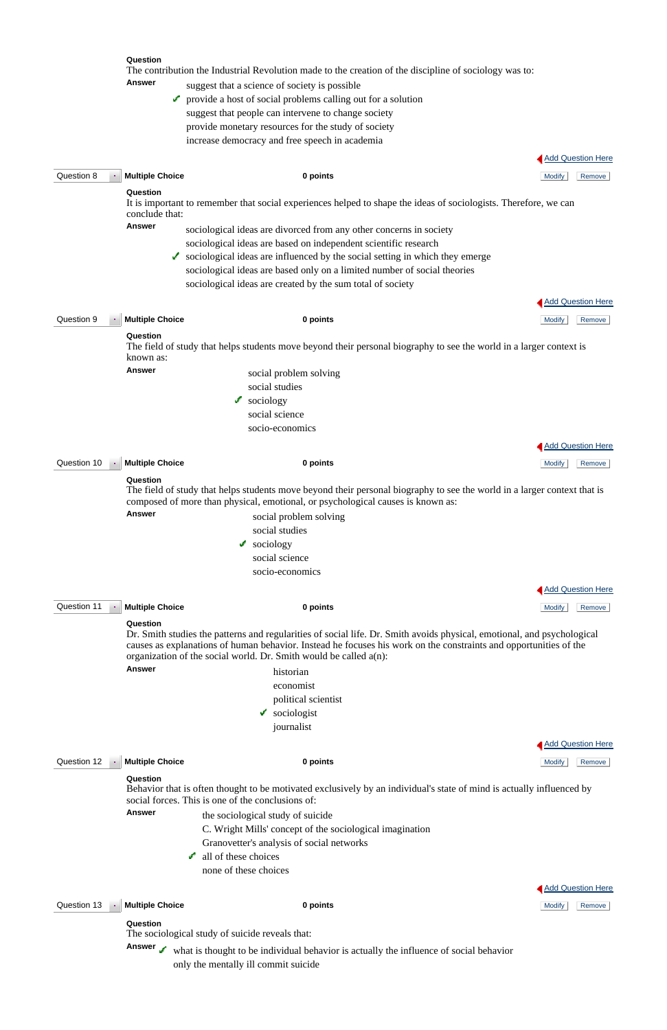|             |               | Question                   | The contribution the Industrial Revolution made to the creation of the discipline of sociology was to:                                                                                                      |                          |
|-------------|---------------|----------------------------|-------------------------------------------------------------------------------------------------------------------------------------------------------------------------------------------------------------|--------------------------|
|             |               | Answer                     | suggest that a science of society is possible                                                                                                                                                               |                          |
|             |               |                            | provide a host of social problems calling out for a solution                                                                                                                                                |                          |
|             |               |                            | suggest that people can intervene to change society                                                                                                                                                         |                          |
|             |               |                            | provide monetary resources for the study of society                                                                                                                                                         |                          |
|             |               |                            | increase democracy and free speech in academia                                                                                                                                                              |                          |
|             |               |                            |                                                                                                                                                                                                             |                          |
|             |               |                            |                                                                                                                                                                                                             | <b>Add Question Here</b> |
| Question 8  | $\mathcal{B}$ | <b>Multiple Choice</b>     | 0 points                                                                                                                                                                                                    | <b>Modify</b><br>Remove  |
|             |               | Question<br>conclude that: | It is important to remember that social experiences helped to shape the ideas of sociologists. Therefore, we can                                                                                            |                          |
|             |               | <b>Answer</b>              | sociological ideas are divorced from any other concerns in society                                                                                                                                          |                          |
|             |               |                            | sociological ideas are based on independent scientific research                                                                                                                                             |                          |
|             |               | ✔                          | sociological ideas are influenced by the social setting in which they emerge                                                                                                                                |                          |
|             |               |                            | sociological ideas are based only on a limited number of social theories                                                                                                                                    |                          |
|             |               |                            | sociological ideas are created by the sum total of society                                                                                                                                                  |                          |
|             |               |                            |                                                                                                                                                                                                             | <b>Add Question Here</b> |
|             |               |                            |                                                                                                                                                                                                             |                          |
| Question 9  | $\bullet$     | <b>Multiple Choice</b>     | 0 points                                                                                                                                                                                                    | <b>Modify</b><br>Remove  |
|             |               | Question<br>known as:      | The field of study that helps students move beyond their personal biography to see the world in a larger context is                                                                                         |                          |
|             |               | Answer                     | social problem solving                                                                                                                                                                                      |                          |
|             |               |                            | social studies                                                                                                                                                                                              |                          |
|             |               |                            | sociology<br>v.                                                                                                                                                                                             |                          |
|             |               |                            | social science                                                                                                                                                                                              |                          |
|             |               |                            | socio-economics                                                                                                                                                                                             |                          |
|             |               |                            |                                                                                                                                                                                                             |                          |
|             |               |                            |                                                                                                                                                                                                             | <b>Add Question Here</b> |
| Question 10 |               | <b>Multiple Choice</b>     | 0 points                                                                                                                                                                                                    | Remove<br><b>Modify</b>  |
|             |               | Question                   |                                                                                                                                                                                                             |                          |
|             |               |                            | The field of study that helps students move beyond their personal biography to see the world in a larger context that is<br>composed of more than physical, emotional, or psychological causes is known as: |                          |
|             |               | <b>Answer</b>              | social problem solving                                                                                                                                                                                      |                          |
|             |               |                            | social studies                                                                                                                                                                                              |                          |
|             |               |                            | sociology<br>v                                                                                                                                                                                              |                          |
|             |               |                            | social science                                                                                                                                                                                              |                          |
|             |               |                            | socio-economics                                                                                                                                                                                             |                          |
|             |               |                            |                                                                                                                                                                                                             | <b>Add Question Here</b> |
| Question 11 |               | <b>Multiple Choice</b>     | 0 points                                                                                                                                                                                                    | <b>Modify</b><br>Remove  |
|             |               | Question                   |                                                                                                                                                                                                             |                          |
|             |               |                            | Dr. Smith studies the patterns and regularities of social life. Dr. Smith avoids physical, emotional, and psychological                                                                                     |                          |
|             |               |                            | causes as explanations of human behavior. Instead he focuses his work on the constraints and opportunities of the                                                                                           |                          |

Answer the sociological study of suicide C. Wright Mills' concept of the sociological imagination

Answer what is thought to be individual behavior is actually the influence of social behavior only the mentally ill commit suicide

causes as explanations of human behavior. Instead he focuses his work on the constraints and opportunities of the organization of the social world. Dr. Smith would be called a(n): **Answer** historian

- economist political scientist
	- sociologist journalist

# **Question 12 Multiple Choice 0 points 0 points 0 points 12 Modify** Remove



#### **Question**

Behavior that is often thought to be motivated exclusively by an individual's state of mind is actually influenced by social forces. This is one of the conclusions of:

Granovetter's analysis of social networks

 all of these choices none of these choices

**Question 13 Multiple Choice 0 points 0 points 0 points 10 points 10 points 10 points 10 points 10 points 10 points 10 points 10 points 10 points 10 points 10 points 10 points 10 points**



#### **Question**

The sociological study of suicide reveals that: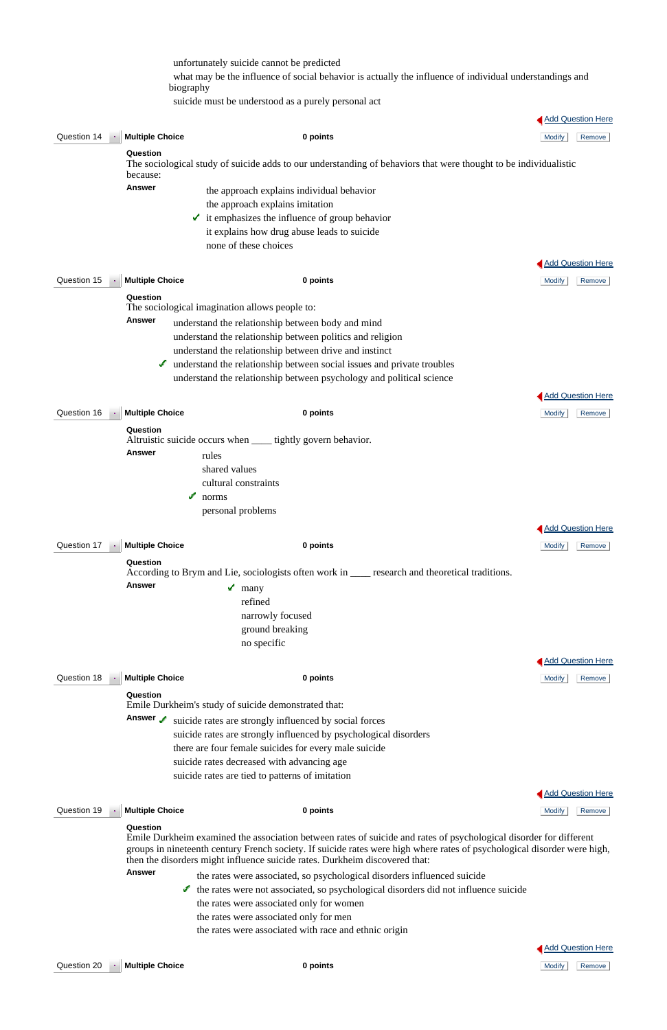|             |                                                     | unfortunately suicide cannot be predicted<br>biography                            |                                                                                                                                                                                                                                                             | what may be the influence of social behavior is actually the influence of individual understandings and |
|-------------|-----------------------------------------------------|-----------------------------------------------------------------------------------|-------------------------------------------------------------------------------------------------------------------------------------------------------------------------------------------------------------------------------------------------------------|---------------------------------------------------------------------------------------------------------|
|             |                                                     |                                                                                   | suicide must be understood as a purely personal act                                                                                                                                                                                                         |                                                                                                         |
|             |                                                     |                                                                                   |                                                                                                                                                                                                                                                             | Add Question Here                                                                                       |
| Question 14 | <b>Multiple Choice</b>                              |                                                                                   | 0 points                                                                                                                                                                                                                                                    | <b>Modify</b><br>Remove                                                                                 |
|             | Question<br>because:<br><b>Answer</b>               |                                                                                   | The sociological study of suicide adds to our understanding of behaviors that were thought to be individualistic<br>the approach explains individual behavior<br>the approach explains imitation<br>$\bullet$ it emphasizes the influence of group behavior |                                                                                                         |
|             |                                                     | none of these choices                                                             | it explains how drug abuse leads to suicide                                                                                                                                                                                                                 |                                                                                                         |
|             |                                                     |                                                                                   |                                                                                                                                                                                                                                                             |                                                                                                         |
|             |                                                     |                                                                                   |                                                                                                                                                                                                                                                             | <b>Add Question Here</b>                                                                                |
| Question 15 | <b>Multiple Choice</b>                              |                                                                                   | 0 points                                                                                                                                                                                                                                                    | <b>Modify</b><br>Remove                                                                                 |
|             | Question                                            | The sociological imagination allows people to:                                    |                                                                                                                                                                                                                                                             |                                                                                                         |
|             | Answer                                              |                                                                                   | understand the relationship between body and mind                                                                                                                                                                                                           |                                                                                                         |
|             |                                                     |                                                                                   | understand the relationship between politics and religion                                                                                                                                                                                                   |                                                                                                         |
|             |                                                     |                                                                                   | understand the relationship between drive and instinct                                                                                                                                                                                                      |                                                                                                         |
|             |                                                     |                                                                                   | If understand the relationship between social issues and private troubles                                                                                                                                                                                   |                                                                                                         |
|             |                                                     |                                                                                   | understand the relationship between psychology and political science                                                                                                                                                                                        |                                                                                                         |
|             |                                                     |                                                                                   |                                                                                                                                                                                                                                                             | Add Question Here                                                                                       |
| Question 16 | <b>Multiple Choice</b>                              |                                                                                   | 0 points                                                                                                                                                                                                                                                    |                                                                                                         |
|             |                                                     |                                                                                   |                                                                                                                                                                                                                                                             | <b>Modify</b><br>Remove                                                                                 |
|             | Question<br><b>Answer</b>                           | rules<br>shared values<br>cultural constraints<br>ℐ<br>norms<br>personal problems | Altruistic suicide occurs when _____ tightly govern behavior.                                                                                                                                                                                               |                                                                                                         |
|             |                                                     |                                                                                   |                                                                                                                                                                                                                                                             | Add Question Here                                                                                       |
| Question 17 | <b>Multiple Choice</b><br>Question<br><b>Answer</b> | $\mathbf{m}$ many<br>refined                                                      | 0 points<br>According to Brym and Lie, sociologists often work in ____ research and theoretical traditions.<br>narrowly focused<br>ground breaking<br>no specific                                                                                           | <b>Modify</b><br>Remove                                                                                 |
|             |                                                     |                                                                                   |                                                                                                                                                                                                                                                             | <b>Add Question Here</b>                                                                                |
| Question 18 | <b>Multiple Choice</b>                              |                                                                                   | 0 points                                                                                                                                                                                                                                                    | <b>Modify</b><br>Remove                                                                                 |
|             | Question                                            |                                                                                   |                                                                                                                                                                                                                                                             |                                                                                                         |
|             |                                                     | Emile Durkheim's study of suicide demonstrated that:                              |                                                                                                                                                                                                                                                             |                                                                                                         |
|             | Answer                                              |                                                                                   | suicide rates are strongly influenced by social forces<br>suicide rates are strongly influenced by psychological disorders                                                                                                                                  |                                                                                                         |

 suicide rates decreased with advancing age suicide rates are tied to patterns of imitation

# **Question 19 • Multiple Choice 0 points 0 points 0 points 10 modify** Remove

# **Add Question Here**

#### **Question**

Emile Durkheim examined the association between rates of suicide and rates of psychological disorder for different groups in nineteenth century French society. If suicide rates were high where rates of psychological disorder were high, then the disorders might influence suicide rates. Durkheim discovered that:

- **Answer** the rates were associated, so psychological disorders influenced suicide
	- $\bullet$  the rates were not associated, so psychological disorders did not influence suicide the rates were associated only for women the rates were associated only for men the rates were associated with race and ethnic origin

**Question 20 Multiple Choice 0 points 0 points 0 points 10 and 10 and 10 and 10 and 10 and 10 and 10 and 10 and 10 and 10 and 10 and 10 and 10 and 10 and 10 and 10 and 10 and 10 and 10 and 10 and 10 and 10 and 10** 



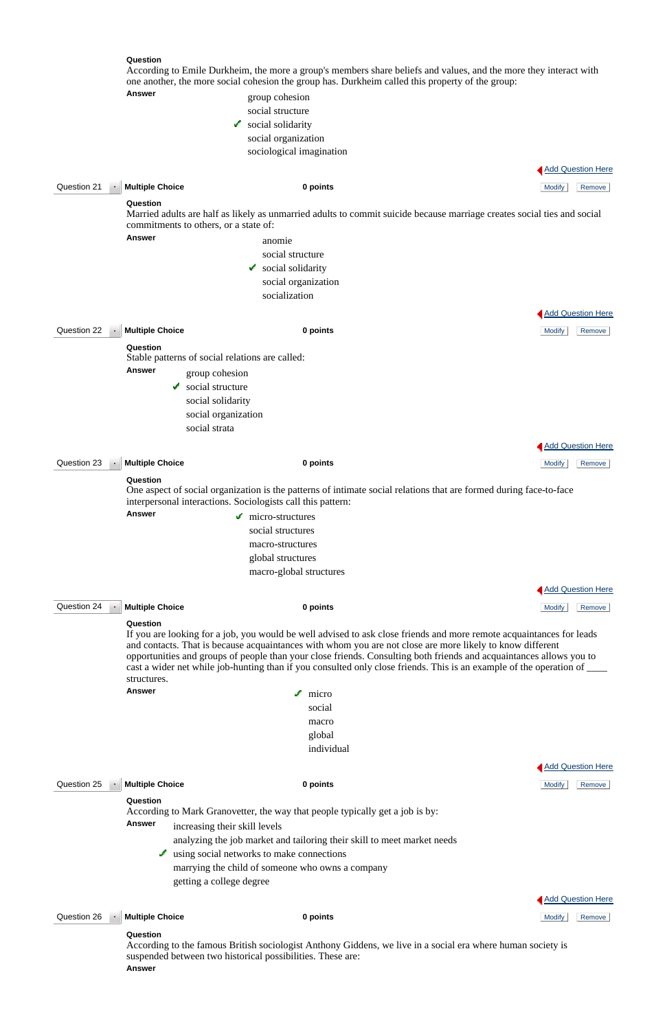#### **Question**

According to Emile Durkheim, the more a group's members share beliefs and values, and the more they interact with one another, the more social cohesion the group has. Durkheim called this property of the group:

# Answer group cohesion

 social structure social solidarity social organization sociological imagination

|  | <b>Add Question Here</b> |  |
|--|--------------------------|--|
|  |                          |  |

| Question 21              | <b>Multiple Choice</b>                                      | 0 points                                                                                                                                                                                                                                                                                                                                                 | <b>Modify</b><br>Remove  |
|--------------------------|-------------------------------------------------------------|----------------------------------------------------------------------------------------------------------------------------------------------------------------------------------------------------------------------------------------------------------------------------------------------------------------------------------------------------------|--------------------------|
|                          | Question<br>commitments to others, or a state of:           | Married adults are half as likely as unmarried adults to commit suicide because marriage creates social ties and social                                                                                                                                                                                                                                  |                          |
|                          | <b>Answer</b>                                               | anomie                                                                                                                                                                                                                                                                                                                                                   |                          |
|                          |                                                             | social structure                                                                                                                                                                                                                                                                                                                                         |                          |
|                          |                                                             | social solidarity<br>v                                                                                                                                                                                                                                                                                                                                   |                          |
|                          |                                                             | social organization                                                                                                                                                                                                                                                                                                                                      |                          |
|                          |                                                             | socialization                                                                                                                                                                                                                                                                                                                                            |                          |
|                          |                                                             |                                                                                                                                                                                                                                                                                                                                                          | <b>Add Question Here</b> |
| Question 22              | <b>Multiple Choice</b>                                      | 0 points                                                                                                                                                                                                                                                                                                                                                 | <b>Modify</b><br>Remove  |
|                          | Question<br>Stable patterns of social relations are called: |                                                                                                                                                                                                                                                                                                                                                          |                          |
|                          | <b>Answer</b>                                               | group cohesion                                                                                                                                                                                                                                                                                                                                           |                          |
|                          | social structure                                            |                                                                                                                                                                                                                                                                                                                                                          |                          |
|                          |                                                             | social solidarity                                                                                                                                                                                                                                                                                                                                        |                          |
|                          |                                                             | social organization                                                                                                                                                                                                                                                                                                                                      |                          |
|                          | social strata                                               |                                                                                                                                                                                                                                                                                                                                                          |                          |
|                          |                                                             |                                                                                                                                                                                                                                                                                                                                                          | <b>Add Question Here</b> |
| Question 23              | <b>Multiple Choice</b>                                      | 0 points                                                                                                                                                                                                                                                                                                                                                 | <b>Modify</b><br>Remove  |
|                          | Question                                                    | One aspect of social organization is the patterns of intimate social relations that are formed during face-to-face<br>interpersonal interactions. Sociologists call this pattern:                                                                                                                                                                        |                          |
|                          | <b>Answer</b>                                               | $\blacksquare$ micro-structures                                                                                                                                                                                                                                                                                                                          |                          |
|                          |                                                             | social structures                                                                                                                                                                                                                                                                                                                                        |                          |
|                          |                                                             | macro-structures                                                                                                                                                                                                                                                                                                                                         |                          |
|                          |                                                             | global structures                                                                                                                                                                                                                                                                                                                                        |                          |
|                          |                                                             | macro-global structures                                                                                                                                                                                                                                                                                                                                  |                          |
|                          |                                                             |                                                                                                                                                                                                                                                                                                                                                          | <b>Add Question Here</b> |
| Question 24<br>$\bullet$ | <b>Multiple Choice</b>                                      | 0 points                                                                                                                                                                                                                                                                                                                                                 | <b>Modify</b><br>Remove  |
|                          | Question<br>structures.                                     | If you are looking for a job, you would be well advised to ask close friends and more remote acquaintances for leads<br>and contacts. That is because acquaintances with whom you are not close are more likely to know different<br>opportunities and groups of people than your close friends. Consulting both friends and acquaintances allows you to |                          |
|                          | <b>Answer</b>                                               | $\sqrt{\phantom{0}}$ micro                                                                                                                                                                                                                                                                                                                               |                          |
|                          |                                                             | social                                                                                                                                                                                                                                                                                                                                                   |                          |
|                          |                                                             | macro                                                                                                                                                                                                                                                                                                                                                    |                          |

 global individual







| Answer | According to Mark Granovetter, the way that people typically get a job is by: |  |
|--------|-------------------------------------------------------------------------------|--|
|        | increasing their skill levels                                                 |  |
|        | analyzing the job market and tailoring their skill to meet market needs       |  |
|        | $\bullet$ using social networks to make connections                           |  |
|        | marrying the child of someone who owns a company                              |  |
|        | getting a college degree                                                      |  |

**Question 26 • Multiple Choice 12 Conserverse Conserverse Conserverse Conserverse Conserverse Additional Remove** 

#### **Question**

According to the famous British sociologist Anthony Giddens, we live in a social era where human society is suspended between two historical possibilities. These are: **Answer**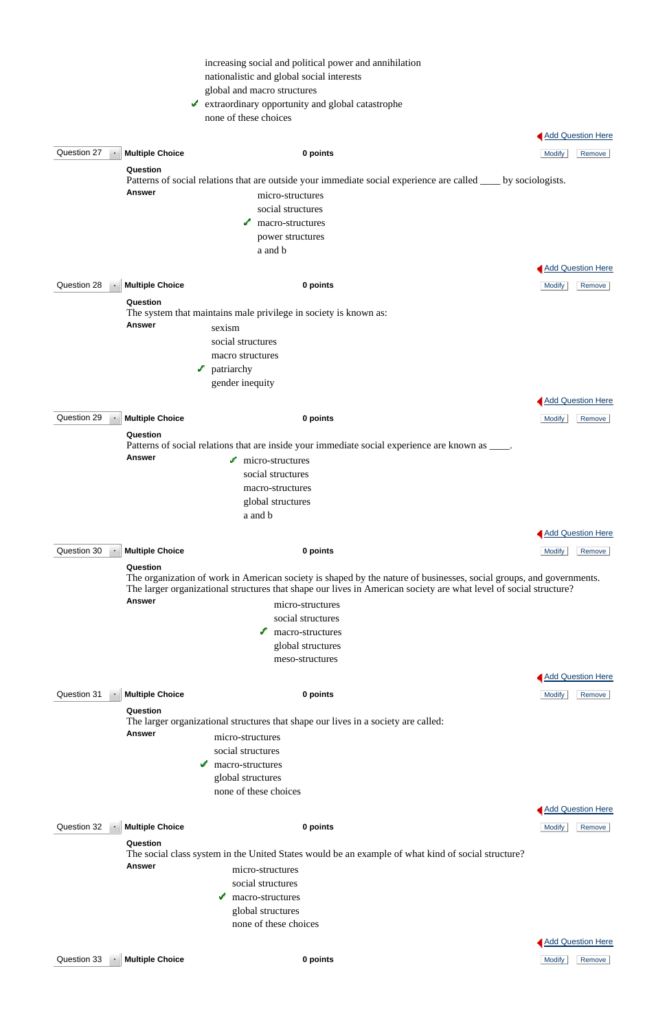|             |                        | increasing social and political power and annihilation                                                                                                                                                                                   |               |                          |
|-------------|------------------------|------------------------------------------------------------------------------------------------------------------------------------------------------------------------------------------------------------------------------------------|---------------|--------------------------|
|             |                        | nationalistic and global social interests                                                                                                                                                                                                |               |                          |
|             |                        | global and macro structures                                                                                                                                                                                                              |               |                          |
|             |                        | $\blacktriangleright$ extraordinary opportunity and global catastrophe                                                                                                                                                                   |               |                          |
|             |                        | none of these choices                                                                                                                                                                                                                    |               |                          |
|             |                        |                                                                                                                                                                                                                                          |               | <b>Add Question Here</b> |
| Question 27 | <b>Multiple Choice</b> | 0 points                                                                                                                                                                                                                                 | <b>Modify</b> | Remove                   |
|             | Question               |                                                                                                                                                                                                                                          |               |                          |
|             |                        | Patterns of social relations that are outside your immediate social experience are called ____ by sociologists.                                                                                                                          |               |                          |
|             | <b>Answer</b>          | micro-structures                                                                                                                                                                                                                         |               |                          |
|             |                        | social structures                                                                                                                                                                                                                        |               |                          |
|             |                        | macro-structures<br>✔                                                                                                                                                                                                                    |               |                          |
|             |                        | power structures                                                                                                                                                                                                                         |               |                          |
|             |                        | a and b                                                                                                                                                                                                                                  |               |                          |
|             |                        |                                                                                                                                                                                                                                          |               | <b>Add Question Here</b> |
|             |                        |                                                                                                                                                                                                                                          |               |                          |
| Question 28 | <b>Multiple Choice</b> | 0 points                                                                                                                                                                                                                                 | <b>Modify</b> | Remove                   |
|             | Question               | The system that maintains male privilege in society is known as:                                                                                                                                                                         |               |                          |
|             | <b>Answer</b>          |                                                                                                                                                                                                                                          |               |                          |
|             |                        | sexism<br>social structures                                                                                                                                                                                                              |               |                          |
|             |                        | macro structures                                                                                                                                                                                                                         |               |                          |
|             |                        | patriarchy<br>J.                                                                                                                                                                                                                         |               |                          |
|             |                        | gender inequity                                                                                                                                                                                                                          |               |                          |
|             |                        |                                                                                                                                                                                                                                          |               |                          |
|             |                        |                                                                                                                                                                                                                                          |               | <b>Add Question Here</b> |
| Question 29 | <b>Multiple Choice</b> | 0 points                                                                                                                                                                                                                                 | <b>Modify</b> | Remove                   |
|             | Question               |                                                                                                                                                                                                                                          |               |                          |
|             | <b>Answer</b>          | Patterns of social relations that are inside your immediate social experience are known as ____.                                                                                                                                         |               |                          |
|             |                        | $\blacksquare$ micro-structures                                                                                                                                                                                                          |               |                          |
|             |                        | social structures<br>macro-structures                                                                                                                                                                                                    |               |                          |
|             |                        | global structures                                                                                                                                                                                                                        |               |                          |
|             |                        | a and b                                                                                                                                                                                                                                  |               |                          |
|             |                        |                                                                                                                                                                                                                                          |               |                          |
|             |                        |                                                                                                                                                                                                                                          |               | <b>Add Question Here</b> |
| Question 30 | <b>Multiple Choice</b> | 0 points                                                                                                                                                                                                                                 | <b>Modify</b> | Remove                   |
|             | Question               |                                                                                                                                                                                                                                          |               |                          |
|             |                        | The organization of work in American society is shaped by the nature of businesses, social groups, and governments.<br>The larger organizational structures that shape our lives in American society are what level of social structure? |               |                          |
|             | <b>Answer</b>          | micro-structures                                                                                                                                                                                                                         |               |                          |
|             |                        | social structures                                                                                                                                                                                                                        |               |                          |
|             |                        | macro-structures<br>✔                                                                                                                                                                                                                    |               |                          |
|             |                        | global structures                                                                                                                                                                                                                        |               |                          |
|             |                        | meso-structures                                                                                                                                                                                                                          |               |                          |
|             |                        |                                                                                                                                                                                                                                          |               | Add Question Here        |
| Question 31 | <b>Multiple Choice</b> | 0 points                                                                                                                                                                                                                                 | <b>Modify</b> | Remove                   |
|             | Question               |                                                                                                                                                                                                                                          |               |                          |
|             |                        | The larger organizational structures that shape our lives in a society are called:                                                                                                                                                       |               |                          |
|             | <b>Answer</b>          | micro-structures                                                                                                                                                                                                                         |               |                          |

social structures

 macro-structures global structures none of these choices



# Question 32 **Multiple Choice 0 points** Modify Remove

### **Question**

The social class system in the United States would be an example of what kind of social structure?

**Answer** micro-structures

social structures

 macro-structures global structures none of these choices

**Question 33 Multiple Choice 12 <b>C 0 points 12 C Multiple Choice 12 Modify** Remove

Add Question Here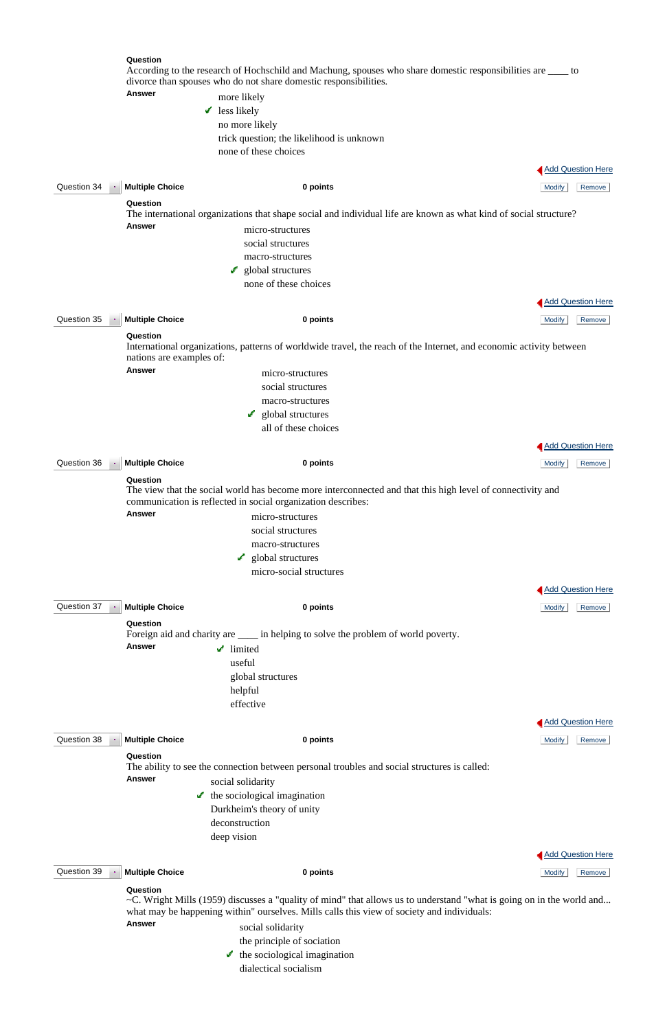#### **Question**

According to the research of Hochschild and Machung, spouses who share domestic responsibilities are \_\_\_\_ to divorce than spouses who do not share domestic responsibilities. **Answer** more more likely

|             | <b>ANSWCI</b>                       | more likely                                                                                                                                                                |                          |
|-------------|-------------------------------------|----------------------------------------------------------------------------------------------------------------------------------------------------------------------------|--------------------------|
|             | V                                   | less likely                                                                                                                                                                |                          |
|             |                                     | no more likely                                                                                                                                                             |                          |
|             |                                     | trick question; the likelihood is unknown                                                                                                                                  |                          |
|             |                                     | none of these choices                                                                                                                                                      |                          |
|             |                                     |                                                                                                                                                                            | <b>Add Question Here</b> |
|             |                                     |                                                                                                                                                                            |                          |
| Question 34 | <b>Multiple Choice</b>              | 0 points                                                                                                                                                                   | <b>Modify</b><br>Remove  |
|             | Question                            |                                                                                                                                                                            |                          |
|             |                                     | The international organizations that shape social and individual life are known as what kind of social structure?                                                          |                          |
|             | <b>Answer</b>                       | micro-structures                                                                                                                                                           |                          |
|             |                                     | social structures                                                                                                                                                          |                          |
|             |                                     | macro-structures                                                                                                                                                           |                          |
|             |                                     | global structures<br>سمي                                                                                                                                                   |                          |
|             |                                     | none of these choices                                                                                                                                                      |                          |
|             |                                     |                                                                                                                                                                            |                          |
|             |                                     |                                                                                                                                                                            | <b>Add Question Here</b> |
| Question 35 | <b>Multiple Choice</b><br>$\bullet$ | 0 points                                                                                                                                                                   | <b>Modify</b><br>Remove  |
|             | Question                            |                                                                                                                                                                            |                          |
|             | nations are examples of:            | International organizations, patterns of worldwide travel, the reach of the Internet, and economic activity between                                                        |                          |
|             | <b>Answer</b>                       | micro-structures                                                                                                                                                           |                          |
|             |                                     | social structures                                                                                                                                                          |                          |
|             |                                     |                                                                                                                                                                            |                          |
|             |                                     | macro-structures                                                                                                                                                           |                          |
|             |                                     | $\bullet$ global structures                                                                                                                                                |                          |
|             |                                     | all of these choices                                                                                                                                                       |                          |
|             |                                     |                                                                                                                                                                            | <b>Add Question Here</b> |
| Question 36 | <b>Multiple Choice</b>              | 0 points                                                                                                                                                                   | <b>Modify</b><br>Remove  |
|             |                                     |                                                                                                                                                                            |                          |
|             | Question                            | The view that the social world has become more interconnected and that this high level of connectivity and<br>communication is reflected in social organization describes: |                          |
|             | <b>Answer</b>                       | micro-structures                                                                                                                                                           |                          |
|             |                                     | social structures                                                                                                                                                          |                          |
|             |                                     |                                                                                                                                                                            |                          |
|             |                                     | macro-structures<br>$\mathcal{L}_{\mathcal{L}}$                                                                                                                            |                          |
|             |                                     | global structures                                                                                                                                                          |                          |
|             |                                     | micro-social structures                                                                                                                                                    |                          |
|             |                                     |                                                                                                                                                                            | <b>Add Question Here</b> |
| Question 37 | <b>Multiple Choice</b><br>$\sim$    | 0 points                                                                                                                                                                   | Remove<br>Modify         |
|             |                                     |                                                                                                                                                                            |                          |
|             | Question                            | Foreign aid and charity are _____ in helping to solve the problem of world poverty.                                                                                        |                          |
|             | <b>Answer</b>                       |                                                                                                                                                                            |                          |
|             |                                     | $\mathcal I$ limited                                                                                                                                                       |                          |
|             |                                     | useful                                                                                                                                                                     |                          |
|             |                                     | global structures                                                                                                                                                          |                          |
|             |                                     | helpful                                                                                                                                                                    |                          |
|             |                                     | effective                                                                                                                                                                  |                          |
|             |                                     |                                                                                                                                                                            | <b>Add Question Here</b> |
|             |                                     |                                                                                                                                                                            |                          |

- $\blacktriangleright$  the sociological imagination
	- Durkheim's theory of unity

#### **Question**

The ability to see the connection between personal troubles and social structures is called:

**Answer** social solidarity

deconstruction

deep vision



**Question 39 • Multiple Choice 0 points 0 points 0 points 10 modify** Remove

Add Question Here

#### **Question**

~C. Wright Mills (1959) discusses a "quality of mind" that allows us to understand "what is going on in the world and... what may be happening within" ourselves. Mills calls this view of society and individuals:

Answer social solidarity

the principle of sociation

 $\bullet$  the sociological imagination

dialectical socialism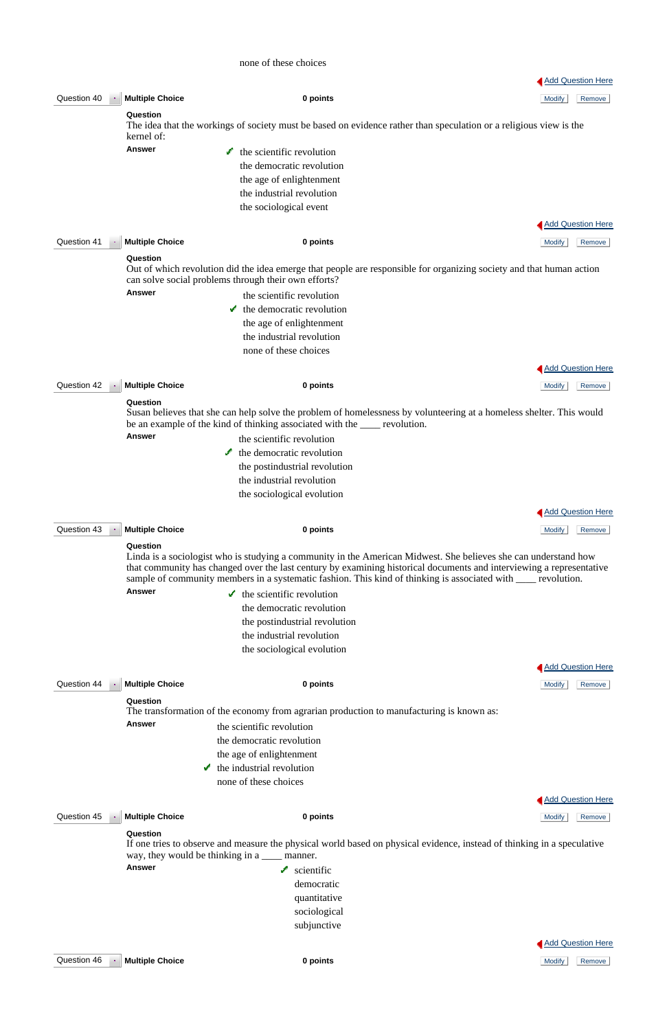#### none of these choices

|             |                             |                                                                                                                                                                                                                                                                                                                                                           |               | <b>Add Question Here</b> |
|-------------|-----------------------------|-----------------------------------------------------------------------------------------------------------------------------------------------------------------------------------------------------------------------------------------------------------------------------------------------------------------------------------------------------------|---------------|--------------------------|
| Question 40 | <b>Multiple Choice</b>      | 0 points                                                                                                                                                                                                                                                                                                                                                  | <b>Modify</b> | Remove                   |
|             | Question                    |                                                                                                                                                                                                                                                                                                                                                           |               |                          |
|             |                             | The idea that the workings of society must be based on evidence rather than speculation or a religious view is the                                                                                                                                                                                                                                        |               |                          |
|             | kernel of:<br><b>Answer</b> |                                                                                                                                                                                                                                                                                                                                                           |               |                          |
|             |                             | the scientific revolution<br><b>A</b>                                                                                                                                                                                                                                                                                                                     |               |                          |
|             |                             | the democratic revolution                                                                                                                                                                                                                                                                                                                                 |               |                          |
|             |                             | the age of enlightenment<br>the industrial revolution                                                                                                                                                                                                                                                                                                     |               |                          |
|             |                             |                                                                                                                                                                                                                                                                                                                                                           |               |                          |
|             |                             | the sociological event                                                                                                                                                                                                                                                                                                                                    |               |                          |
|             |                             |                                                                                                                                                                                                                                                                                                                                                           |               | Add Question Here        |
| Question 41 | <b>Multiple Choice</b>      | 0 points                                                                                                                                                                                                                                                                                                                                                  | <b>Modify</b> | Remove                   |
|             | Question                    |                                                                                                                                                                                                                                                                                                                                                           |               |                          |
|             |                             | Out of which revolution did the idea emerge that people are responsible for organizing society and that human action<br>can solve social problems through their own efforts?                                                                                                                                                                              |               |                          |
|             | <b>Answer</b>               | the scientific revolution                                                                                                                                                                                                                                                                                                                                 |               |                          |
|             |                             | $\cdot$ the democratic revolution                                                                                                                                                                                                                                                                                                                         |               |                          |
|             |                             | the age of enlightenment                                                                                                                                                                                                                                                                                                                                  |               |                          |
|             |                             | the industrial revolution                                                                                                                                                                                                                                                                                                                                 |               |                          |
|             |                             | none of these choices                                                                                                                                                                                                                                                                                                                                     |               |                          |
|             |                             |                                                                                                                                                                                                                                                                                                                                                           |               | <b>Add Question Here</b> |
| Question 42 | <b>Multiple Choice</b>      | 0 points                                                                                                                                                                                                                                                                                                                                                  | <b>Modify</b> | Remove                   |
|             | Question                    |                                                                                                                                                                                                                                                                                                                                                           |               |                          |
|             |                             | Susan believes that she can help solve the problem of homelessness by volunteering at a homeless shelter. This would<br>be an example of the kind of thinking associated with the <u>same</u> revolution.                                                                                                                                                 |               |                          |
|             | <b>Answer</b>               | the scientific revolution                                                                                                                                                                                                                                                                                                                                 |               |                          |
|             |                             | $\bullet$ the democratic revolution                                                                                                                                                                                                                                                                                                                       |               |                          |
|             |                             | the postindustrial revolution                                                                                                                                                                                                                                                                                                                             |               |                          |
|             |                             | the industrial revolution                                                                                                                                                                                                                                                                                                                                 |               |                          |
|             |                             | the sociological evolution                                                                                                                                                                                                                                                                                                                                |               |                          |
|             |                             |                                                                                                                                                                                                                                                                                                                                                           |               | <b>Add Question Here</b> |
|             |                             |                                                                                                                                                                                                                                                                                                                                                           |               |                          |
| Question 43 | <b>Multiple Choice</b>      | 0 points                                                                                                                                                                                                                                                                                                                                                  | <b>Modify</b> | Remove                   |
|             | Question                    | Linda is a sociologist who is studying a community in the American Midwest. She believes she can understand how<br>that community has changed over the last century by examining historical documents and interviewing a representative<br>sample of community members in a systematic fashion. This kind of thinking is associated with ____ revolution. |               |                          |
|             | <b>Answer</b>               | $\bullet$ the scientific revolution                                                                                                                                                                                                                                                                                                                       |               |                          |
|             |                             | the democratic revolution                                                                                                                                                                                                                                                                                                                                 |               |                          |
|             |                             | the postindustrial revolution                                                                                                                                                                                                                                                                                                                             |               |                          |
|             |                             | the industrial revolution                                                                                                                                                                                                                                                                                                                                 |               |                          |
|             |                             | the sociological evolution                                                                                                                                                                                                                                                                                                                                |               |                          |
|             |                             |                                                                                                                                                                                                                                                                                                                                                           |               | <b>Add Question Here</b> |
| Question 44 | <b>Multiple Choice</b>      | 0 points                                                                                                                                                                                                                                                                                                                                                  | <b>Modify</b> | Remove                   |
|             | Question                    |                                                                                                                                                                                                                                                                                                                                                           |               |                          |
|             |                             | The transformation of the economy from agrarian production to manufacturing is known as:                                                                                                                                                                                                                                                                  |               |                          |
|             | <b>Answer</b>               | the scientific revolution                                                                                                                                                                                                                                                                                                                                 |               |                          |

If one tries to observe and measure the physical world based on physical evidence, instead of thinking in a speculative way, they would be thinking in a \_\_\_\_\_ manner.

Answer scientific democratic quantitative sociological subjunctive

the democratic revolution

**Question 45 Multiple Choice 12 <b>C 0 points 12 C 0 points 12 C C C Modify Remove** 

 the age of enlightenment  $\bullet$  the industrial revolution none of these choices

Add Question Here

### **Question**

Add Question Here

Question 46 **Multiple Choice 0 points** Modify Remove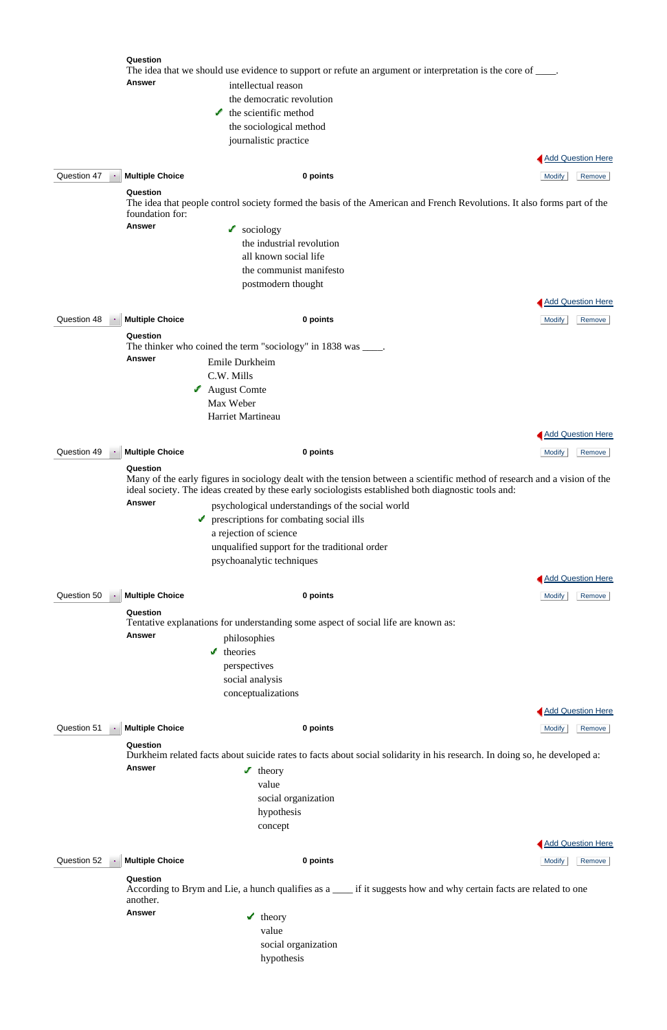|                                  | Question                    | The idea that we should use evidence to support or refute an argument or interpretation is the core of ____.                                                                                                                     |               |                          |
|----------------------------------|-----------------------------|----------------------------------------------------------------------------------------------------------------------------------------------------------------------------------------------------------------------------------|---------------|--------------------------|
|                                  | <b>Answer</b>               | intellectual reason<br>the democratic revolution<br>the scientific method<br>✔                                                                                                                                                   |               |                          |
|                                  |                             | the sociological method<br>journalistic practice                                                                                                                                                                                 |               |                          |
|                                  |                             |                                                                                                                                                                                                                                  |               |                          |
|                                  |                             |                                                                                                                                                                                                                                  |               | <b>Add Question Here</b> |
| Question 47<br>$\sim$            | <b>Multiple Choice</b>      | 0 points                                                                                                                                                                                                                         | <b>Modify</b> | Remove                   |
|                                  | Question<br>foundation for: | The idea that people control society formed the basis of the American and French Revolutions. It also forms part of the                                                                                                          |               |                          |
|                                  | <b>Answer</b>               | $\log$ sociology                                                                                                                                                                                                                 |               |                          |
|                                  |                             | the industrial revolution                                                                                                                                                                                                        |               |                          |
|                                  |                             | all known social life                                                                                                                                                                                                            |               |                          |
|                                  |                             | the communist manifesto                                                                                                                                                                                                          |               |                          |
|                                  |                             | postmodern thought                                                                                                                                                                                                               |               |                          |
|                                  |                             |                                                                                                                                                                                                                                  |               | <b>Add Question Here</b> |
| Question 48<br>$\langle \rangle$ | <b>Multiple Choice</b>      | 0 points                                                                                                                                                                                                                         | <b>Modify</b> | Remove                   |
|                                  | Question                    |                                                                                                                                                                                                                                  |               |                          |
|                                  | <b>Answer</b>               | The thinker who coined the term "sociology" in 1838 was _____.<br>Emile Durkheim                                                                                                                                                 |               |                          |
|                                  |                             | C.W. Mills                                                                                                                                                                                                                       |               |                          |
|                                  |                             | $\blacktriangle$ August Comte                                                                                                                                                                                                    |               |                          |
|                                  |                             | Max Weber                                                                                                                                                                                                                        |               |                          |
|                                  |                             | Harriet Martineau                                                                                                                                                                                                                |               |                          |
|                                  |                             |                                                                                                                                                                                                                                  |               | <b>Add Question Here</b> |
| Question 49                      | <b>Multiple Choice</b>      | 0 points                                                                                                                                                                                                                         | <b>Modify</b> | Remove                   |
|                                  | Question                    |                                                                                                                                                                                                                                  |               |                          |
|                                  |                             | Many of the early figures in sociology dealt with the tension between a scientific method of research and a vision of the<br>ideal society. The ideas created by these early sociologists established both diagnostic tools and: |               |                          |
|                                  | <b>Answer</b>               | psychological understandings of the social world                                                                                                                                                                                 |               |                          |
|                                  | v                           | prescriptions for combating social ills                                                                                                                                                                                          |               |                          |
|                                  |                             | a rejection of science                                                                                                                                                                                                           |               |                          |
|                                  |                             | unqualified support for the traditional order                                                                                                                                                                                    |               |                          |
|                                  |                             | psychoanalytic techniques                                                                                                                                                                                                        |               |                          |
|                                  |                             |                                                                                                                                                                                                                                  |               | <b>Add Question Here</b> |
| Question 50                      | <b>Multiple Choice</b>      | 0 points                                                                                                                                                                                                                         | <b>Modify</b> | Remove                   |
|                                  | Question                    | Tentative explanations for understanding some aspect of social life are known as:                                                                                                                                                |               |                          |
|                                  | <b>Answer</b>               | philosophies                                                                                                                                                                                                                     |               |                          |
|                                  |                             | می<br>theories                                                                                                                                                                                                                   |               |                          |
|                                  |                             | perspectives                                                                                                                                                                                                                     |               |                          |
|                                  |                             | social analysis                                                                                                                                                                                                                  |               |                          |
|                                  |                             | conceptualizations                                                                                                                                                                                                               |               |                          |
|                                  |                             |                                                                                                                                                                                                                                  |               | <b>Add Question Here</b> |
| Question 51                      | <b>Multiple Choice</b>      | 0 points                                                                                                                                                                                                                         | <b>Modify</b> | Remove                   |
|                                  | Question                    |                                                                                                                                                                                                                                  |               |                          |

Durkheim related facts about suicide rates to facts about social solidarity in his research. In doing so, he developed a:



 social organization hypothesis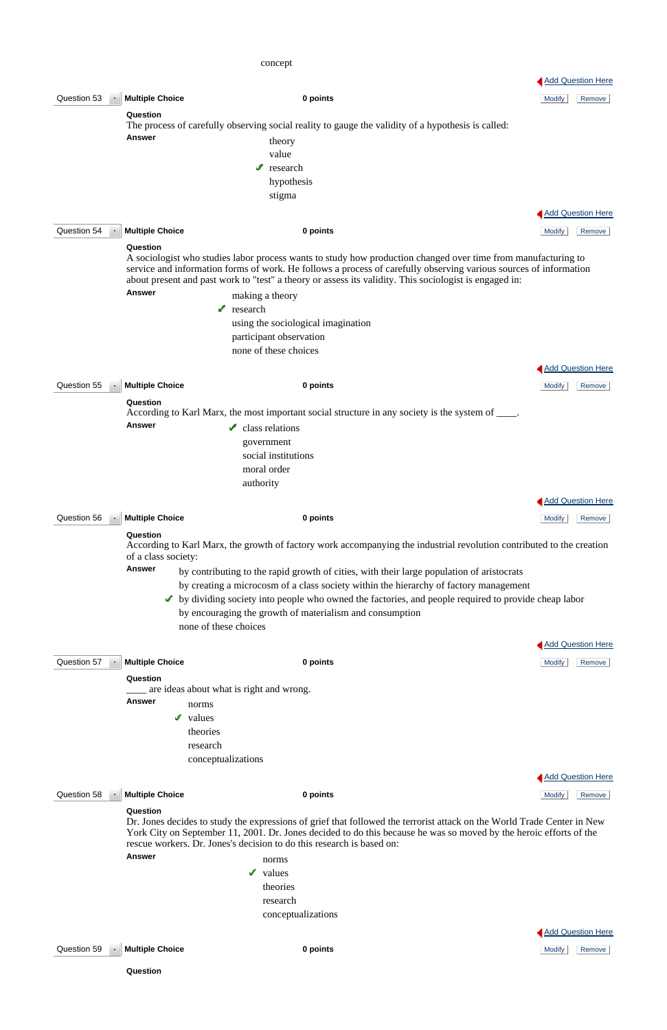# concept

|             |                                 |                                                                                                                                                                                                                                                                                                                                              |               | <b>Add Question Here</b> |
|-------------|---------------------------------|----------------------------------------------------------------------------------------------------------------------------------------------------------------------------------------------------------------------------------------------------------------------------------------------------------------------------------------------|---------------|--------------------------|
| Question 53 | <b>Multiple Choice</b>          | 0 points                                                                                                                                                                                                                                                                                                                                     | <b>Modify</b> | Remove                   |
|             | Question                        |                                                                                                                                                                                                                                                                                                                                              |               |                          |
|             |                                 | The process of carefully observing social reality to gauge the validity of a hypothesis is called:                                                                                                                                                                                                                                           |               |                          |
|             | <b>Answer</b>                   | theory                                                                                                                                                                                                                                                                                                                                       |               |                          |
|             |                                 | value                                                                                                                                                                                                                                                                                                                                        |               |                          |
|             |                                 | مى<br>research                                                                                                                                                                                                                                                                                                                               |               |                          |
|             |                                 | hypothesis                                                                                                                                                                                                                                                                                                                                   |               |                          |
|             |                                 | stigma                                                                                                                                                                                                                                                                                                                                       |               |                          |
|             |                                 |                                                                                                                                                                                                                                                                                                                                              |               | Add Question Here        |
| Question 54 | <b>Multiple Choice</b>          | 0 points                                                                                                                                                                                                                                                                                                                                     | <b>Modify</b> | Remove                   |
|             | Question                        |                                                                                                                                                                                                                                                                                                                                              |               |                          |
|             |                                 | A sociologist who studies labor process wants to study how production changed over time from manufacturing to<br>service and information forms of work. He follows a process of carefully observing various sources of information<br>about present and past work to "test" a theory or assess its validity. This sociologist is engaged in: |               |                          |
|             | <b>Answer</b>                   | making a theory                                                                                                                                                                                                                                                                                                                              |               |                          |
|             |                                 | research<br>s.                                                                                                                                                                                                                                                                                                                               |               |                          |
|             |                                 | using the sociological imagination                                                                                                                                                                                                                                                                                                           |               |                          |
|             |                                 | participant observation                                                                                                                                                                                                                                                                                                                      |               |                          |
|             |                                 | none of these choices                                                                                                                                                                                                                                                                                                                        |               |                          |
|             |                                 |                                                                                                                                                                                                                                                                                                                                              |               | <b>Add Question Here</b> |
| Question 55 | <b>Multiple Choice</b>          | 0 points                                                                                                                                                                                                                                                                                                                                     | <b>Modify</b> | Remove                   |
|             | Question                        |                                                                                                                                                                                                                                                                                                                                              |               |                          |
|             |                                 | According to Karl Marx, the most important social structure in any society is the system of ____.                                                                                                                                                                                                                                            |               |                          |
|             | <b>Answer</b>                   | class relations<br>✔                                                                                                                                                                                                                                                                                                                         |               |                          |
|             |                                 | government                                                                                                                                                                                                                                                                                                                                   |               |                          |
|             |                                 | social institutions                                                                                                                                                                                                                                                                                                                          |               |                          |
|             |                                 | moral order                                                                                                                                                                                                                                                                                                                                  |               |                          |
|             |                                 | authority                                                                                                                                                                                                                                                                                                                                    |               |                          |
|             |                                 |                                                                                                                                                                                                                                                                                                                                              |               | <b>Add Question Here</b> |
|             |                                 |                                                                                                                                                                                                                                                                                                                                              |               |                          |
| Question 56 | <b>Multiple Choice</b>          | 0 points                                                                                                                                                                                                                                                                                                                                     | <b>Modify</b> | Remove                   |
|             | Question<br>of a class society: | According to Karl Marx, the growth of factory work accompanying the industrial revolution contributed to the creation                                                                                                                                                                                                                        |               |                          |
|             | <b>Answer</b>                   | by contributing to the rapid growth of cities, with their large population of aristocrats                                                                                                                                                                                                                                                    |               |                          |
|             |                                 | by creating a microcosm of a class society within the hierarchy of factory management                                                                                                                                                                                                                                                        |               |                          |
|             |                                 | by dividing society into people who owned the factories, and people required to provide cheap labor                                                                                                                                                                                                                                          |               |                          |
|             |                                 | by encouraging the growth of materialism and consumption                                                                                                                                                                                                                                                                                     |               |                          |
|             |                                 | none of these choices                                                                                                                                                                                                                                                                                                                        |               |                          |
|             |                                 |                                                                                                                                                                                                                                                                                                                                              |               | <b>Add Question Here</b> |
| Question 57 | <b>Multiple Choice</b>          | 0 points                                                                                                                                                                                                                                                                                                                                     | Modify        | Remove                   |
|             | Question                        |                                                                                                                                                                                                                                                                                                                                              |               |                          |
|             |                                 | are ideas about what is right and wrong.                                                                                                                                                                                                                                                                                                     |               |                          |
|             | <b>Answer</b><br>norms          |                                                                                                                                                                                                                                                                                                                                              |               |                          |
|             | v.<br>values                    |                                                                                                                                                                                                                                                                                                                                              |               |                          |
|             | theories                        |                                                                                                                                                                                                                                                                                                                                              |               |                          |

**Answer** norms  $\checkmark$  values theories research conceptualizations

research

conceptualizations



Question 58 **Multiple Choice 0 points** Modify Remove

### **Question**

Dr. Jones decides to study the expressions of grief that followed the terrorist attack on the World Trade Center in New York City on September 11, 2001. Dr. Jones decided to do this because he was so moved by the heroic efforts of the rescue workers. Dr. Jones's decision to do this research is based on:

Add Question Here

Question 59 **Multiple Choice 0 points** Modify Remove

**Question**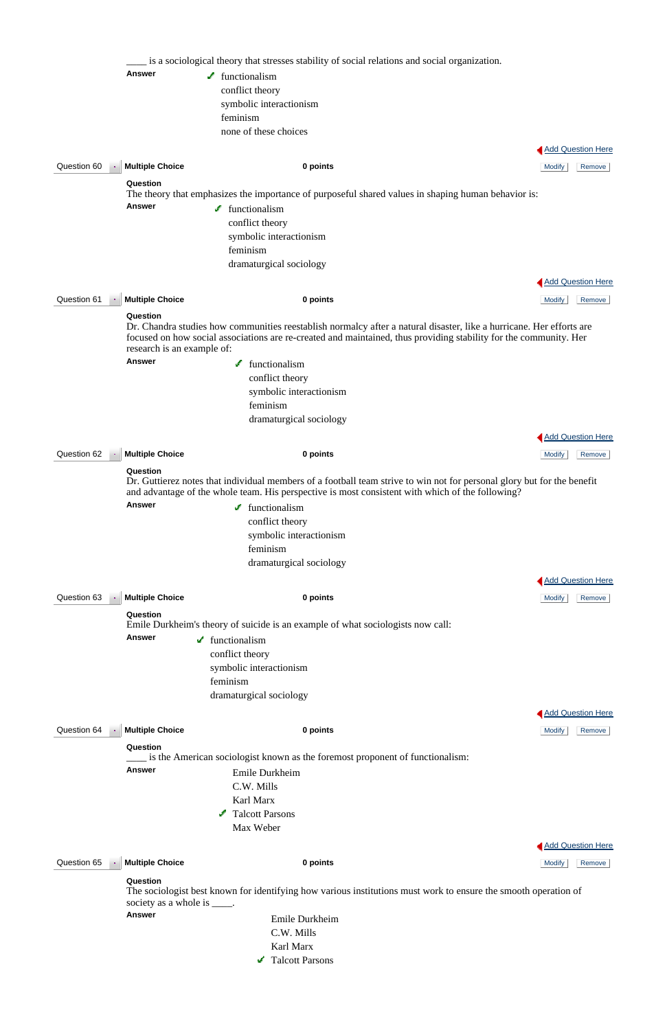|                          |                                        | is a sociological theory that stresses stability of social relations and social organization.                                                                                                                                             |                          |
|--------------------------|----------------------------------------|-------------------------------------------------------------------------------------------------------------------------------------------------------------------------------------------------------------------------------------------|--------------------------|
|                          | <b>Answer</b>                          | $\blacktriangleright$ functionalism                                                                                                                                                                                                       |                          |
|                          |                                        | conflict theory                                                                                                                                                                                                                           |                          |
|                          |                                        | symbolic interactionism                                                                                                                                                                                                                   |                          |
|                          |                                        | feminism                                                                                                                                                                                                                                  |                          |
|                          |                                        | none of these choices                                                                                                                                                                                                                     |                          |
|                          |                                        |                                                                                                                                                                                                                                           | <b>Add Question Here</b> |
| Question 60              | <b>Multiple Choice</b>                 | 0 points                                                                                                                                                                                                                                  | <b>Modify</b><br>Remove  |
|                          | Question                               |                                                                                                                                                                                                                                           |                          |
|                          |                                        | The theory that emphasizes the importance of purposeful shared values in shaping human behavior is:                                                                                                                                       |                          |
|                          | <b>Answer</b>                          | $\blacktriangleright$ functionalism                                                                                                                                                                                                       |                          |
|                          |                                        | conflict theory                                                                                                                                                                                                                           |                          |
|                          |                                        | symbolic interactionism                                                                                                                                                                                                                   |                          |
|                          |                                        | feminism                                                                                                                                                                                                                                  |                          |
|                          |                                        | dramaturgical sociology                                                                                                                                                                                                                   |                          |
|                          |                                        |                                                                                                                                                                                                                                           | <b>Add Question Here</b> |
| Question 61<br>$\bullet$ | <b>Multiple Choice</b>                 | 0 points                                                                                                                                                                                                                                  | <b>Modify</b><br>Remove  |
|                          | Question<br>research is an example of: | Dr. Chandra studies how communities reestablish normalcy after a natural disaster, like a hurricane. Her efforts are<br>focused on how social associations are re-created and maintained, thus providing stability for the community. Her |                          |
|                          | <b>Answer</b>                          | functionalism                                                                                                                                                                                                                             |                          |
|                          |                                        | conflict theory                                                                                                                                                                                                                           |                          |
|                          |                                        | symbolic interactionism                                                                                                                                                                                                                   |                          |
|                          |                                        | feminism                                                                                                                                                                                                                                  |                          |
|                          |                                        | dramaturgical sociology                                                                                                                                                                                                                   |                          |
|                          |                                        |                                                                                                                                                                                                                                           | <b>Add Question Here</b> |
| Question 62              | <b>Multiple Choice</b>                 | 0 points                                                                                                                                                                                                                                  | <b>Modify</b><br>Remove  |
|                          | Question                               | Dr. Guttierez notes that individual members of a football team strive to win not for personal glory but for the benefit<br>and advantage of the whole team. His perspective is most consistent with which of the following?               |                          |
|                          | <b>Answer</b>                          | $\blacktriangleright$ functionalism                                                                                                                                                                                                       |                          |
|                          |                                        | conflict theory                                                                                                                                                                                                                           |                          |
|                          |                                        | symbolic interactionism                                                                                                                                                                                                                   |                          |
|                          |                                        | feminism                                                                                                                                                                                                                                  |                          |
|                          |                                        | dramaturgical sociology                                                                                                                                                                                                                   |                          |
|                          |                                        |                                                                                                                                                                                                                                           | <b>Add Question Here</b> |
| Question 63              | <b>Multiple Choice</b>                 | 0 points                                                                                                                                                                                                                                  | <b>Modify</b><br>Remove  |
|                          | Question                               | Emile Durkheim's theory of suicide is an example of what sociologists now call:                                                                                                                                                           |                          |
|                          | Answer                                 | $\blacktriangleright$ functionalism                                                                                                                                                                                                       |                          |
|                          |                                        | conflict theory                                                                                                                                                                                                                           |                          |
|                          |                                        | symbolic interactionism                                                                                                                                                                                                                   |                          |
|                          |                                        | feminism                                                                                                                                                                                                                                  |                          |
|                          |                                        | dramaturgical sociology                                                                                                                                                                                                                   |                          |
|                          |                                        |                                                                                                                                                                                                                                           | Add Question Here        |
|                          |                                        |                                                                                                                                                                                                                                           |                          |
| Question 64              | <b>Multiple Choice</b>                 | 0 points                                                                                                                                                                                                                                  | <b>Modify</b><br>Remove  |
|                          | Question                               |                                                                                                                                                                                                                                           |                          |

The sociologist best known for identifying how various institutions must work to ensure the smooth operation of society as a whole is  $\_\_\_\$ .

\_\_\_\_ is the American sociologist known as the foremost proponent of functionalism:

|                                         | <b>Answer</b>          | Emile Durkheim  |                          |
|-----------------------------------------|------------------------|-----------------|--------------------------|
|                                         |                        | C.W. Mills      |                          |
|                                         |                        | Karl Marx       |                          |
|                                         |                        | Talcott Parsons |                          |
|                                         |                        | Max Weber       |                          |
|                                         |                        |                 | <b>Add Question Here</b> |
| Question 65<br>$\overline{\phantom{a}}$ | <b>Multiple Choice</b> | 0 points        | <b>Modify</b><br>Remove  |
|                                         | Question               |                 |                          |

**Answer** Emile Durkheim C.W. Mills Karl Marx Talcott Parsons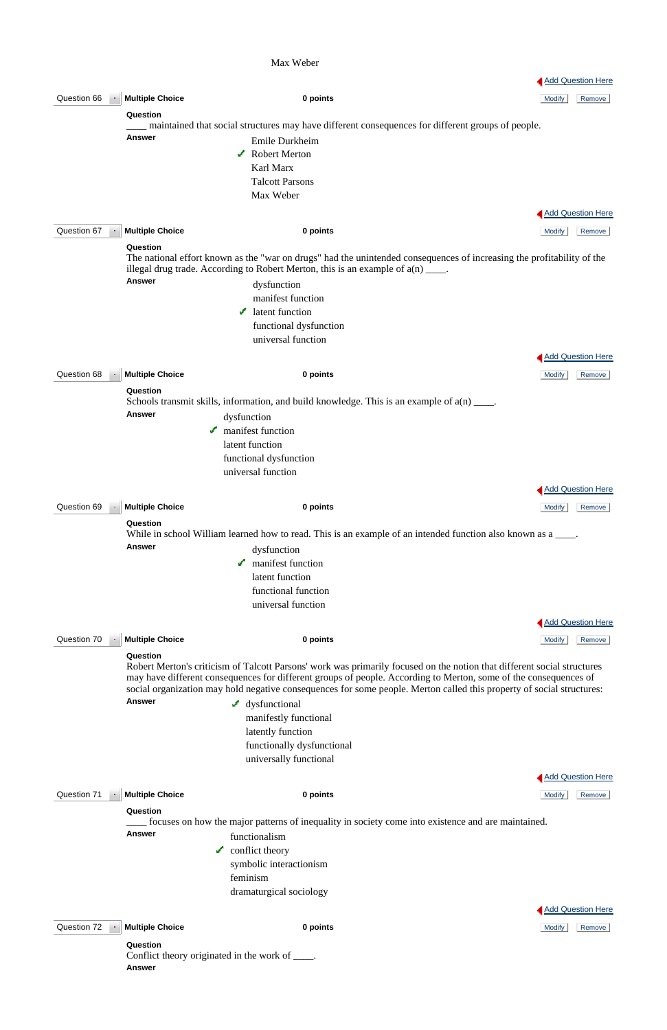### Max Weber

|             |                        |                                                                                                                                                                                                                                                                                                                                                                      |               | <b>Add Question Here</b> |
|-------------|------------------------|----------------------------------------------------------------------------------------------------------------------------------------------------------------------------------------------------------------------------------------------------------------------------------------------------------------------------------------------------------------------|---------------|--------------------------|
| Question 66 | <b>Multiple Choice</b> | 0 points                                                                                                                                                                                                                                                                                                                                                             | <b>Modify</b> | Remove                   |
|             | Question               |                                                                                                                                                                                                                                                                                                                                                                      |               |                          |
|             |                        | maintained that social structures may have different consequences for different groups of people.                                                                                                                                                                                                                                                                    |               |                          |
|             | <b>Answer</b>          | Emile Durkheim                                                                                                                                                                                                                                                                                                                                                       |               |                          |
|             |                        | $\triangle$ Robert Merton                                                                                                                                                                                                                                                                                                                                            |               |                          |
|             |                        | Karl Marx                                                                                                                                                                                                                                                                                                                                                            |               |                          |
|             |                        | <b>Talcott Parsons</b>                                                                                                                                                                                                                                                                                                                                               |               |                          |
|             |                        | Max Weber                                                                                                                                                                                                                                                                                                                                                            |               |                          |
|             |                        |                                                                                                                                                                                                                                                                                                                                                                      |               | Add Question Here        |
| Question 67 | <b>Multiple Choice</b> | 0 points                                                                                                                                                                                                                                                                                                                                                             | <b>Modify</b> | Remove                   |
|             | Question               |                                                                                                                                                                                                                                                                                                                                                                      |               |                          |
|             |                        | The national effort known as the "war on drugs" had the unintended consequences of increasing the profitability of the<br>illegal drug trade. According to Robert Merton, this is an example of $a(n)$ ____.                                                                                                                                                         |               |                          |
|             | <b>Answer</b>          | dysfunction                                                                                                                                                                                                                                                                                                                                                          |               |                          |
|             |                        | manifest function                                                                                                                                                                                                                                                                                                                                                    |               |                          |
|             |                        | latent function                                                                                                                                                                                                                                                                                                                                                      |               |                          |
|             |                        | functional dysfunction                                                                                                                                                                                                                                                                                                                                               |               |                          |
|             |                        | universal function                                                                                                                                                                                                                                                                                                                                                   |               |                          |
|             |                        |                                                                                                                                                                                                                                                                                                                                                                      |               | <b>Add Question Here</b> |
| Question 68 | <b>Multiple Choice</b> | 0 points                                                                                                                                                                                                                                                                                                                                                             | <b>Modify</b> | Remove                   |
|             | Question               |                                                                                                                                                                                                                                                                                                                                                                      |               |                          |
|             |                        | Schools transmit skills, information, and build knowledge. This is an example of $a(n)$ ____.                                                                                                                                                                                                                                                                        |               |                          |
|             | <b>Answer</b>          | dysfunction                                                                                                                                                                                                                                                                                                                                                          |               |                          |
|             |                        | manifest function                                                                                                                                                                                                                                                                                                                                                    |               |                          |
|             |                        | latent function                                                                                                                                                                                                                                                                                                                                                      |               |                          |
|             |                        | functional dysfunction                                                                                                                                                                                                                                                                                                                                               |               |                          |
|             |                        | universal function                                                                                                                                                                                                                                                                                                                                                   |               |                          |
|             |                        |                                                                                                                                                                                                                                                                                                                                                                      |               | <b>Add Question Here</b> |
| Question 69 | <b>Multiple Choice</b> | 0 points                                                                                                                                                                                                                                                                                                                                                             | <b>Modify</b> | Remove                   |
|             | Question               |                                                                                                                                                                                                                                                                                                                                                                      |               |                          |
|             |                        | While in school William learned how to read. This is an example of an intended function also known as a ____.                                                                                                                                                                                                                                                        |               |                          |
|             | <b>Answer</b>          | dysfunction                                                                                                                                                                                                                                                                                                                                                          |               |                          |
|             |                        | manifest function                                                                                                                                                                                                                                                                                                                                                    |               |                          |
|             |                        | latent function                                                                                                                                                                                                                                                                                                                                                      |               |                          |
|             |                        | functional function                                                                                                                                                                                                                                                                                                                                                  |               |                          |
|             |                        | universal function                                                                                                                                                                                                                                                                                                                                                   |               |                          |
|             |                        |                                                                                                                                                                                                                                                                                                                                                                      |               | Add Question Here        |
| Question 70 | <b>Multiple Choice</b> | 0 points                                                                                                                                                                                                                                                                                                                                                             | <b>Modify</b> | Remove                   |
|             | Question               | Robert Merton's criticism of Talcott Parsons' work was primarily focused on the notion that different social structures<br>may have different consequences for different groups of people. According to Merton, some of the consequences of<br>social organization may hold negative consequences for some people. Merton called this property of social structures: |               |                          |
|             | <b>Answer</b>          | $\blacktriangle$ dysfunctional                                                                                                                                                                                                                                                                                                                                       |               |                          |
|             |                        | manifestly functional                                                                                                                                                                                                                                                                                                                                                |               |                          |
|             |                        | latently function                                                                                                                                                                                                                                                                                                                                                    |               |                          |

functionally dysfunctional

### universally functional

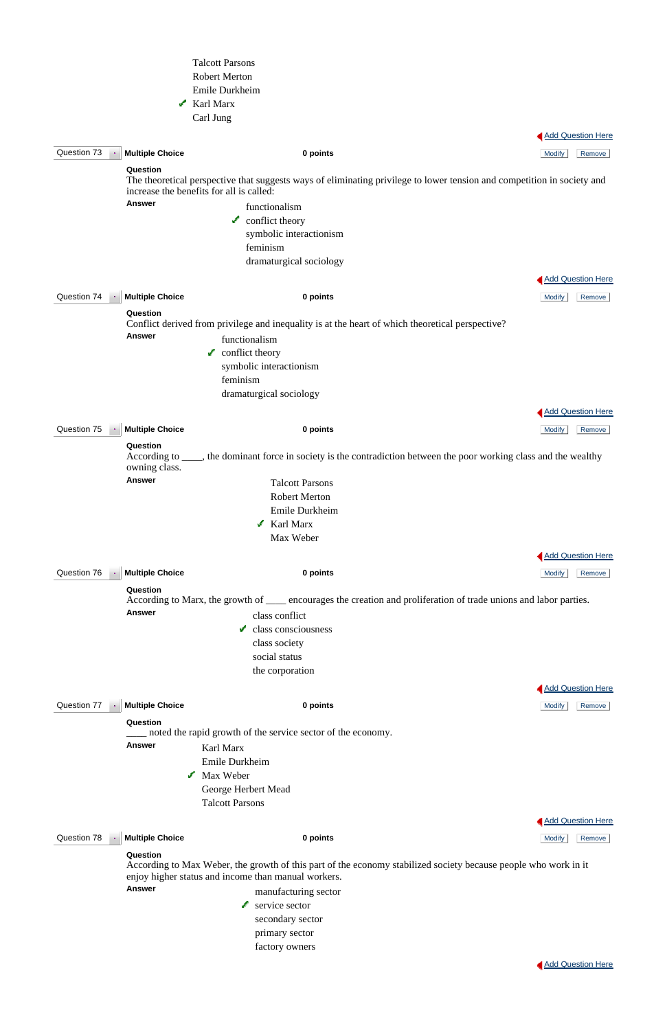|             |                           | <b>Talcott Parsons</b>                                                                                                                                                               |                          |
|-------------|---------------------------|--------------------------------------------------------------------------------------------------------------------------------------------------------------------------------------|--------------------------|
|             |                           | <b>Robert Merton</b>                                                                                                                                                                 |                          |
|             |                           | Emile Durkheim                                                                                                                                                                       |                          |
|             |                           | $\mathcal{N}$ Karl Marx                                                                                                                                                              |                          |
|             |                           | Carl Jung                                                                                                                                                                            |                          |
|             |                           |                                                                                                                                                                                      |                          |
|             |                           |                                                                                                                                                                                      | Add Question Here        |
| Question 73 | <b>Multiple Choice</b>    | 0 points                                                                                                                                                                             | <b>Modify</b><br>Remove  |
|             | Question<br><b>Answer</b> | The theoretical perspective that suggests ways of eliminating privilege to lower tension and competition in society and<br>increase the benefits for all is called:<br>functionalism |                          |
|             |                           | $\sqrt{\ }$ conflict theory                                                                                                                                                          |                          |
|             |                           | symbolic interactionism                                                                                                                                                              |                          |
|             |                           | feminism                                                                                                                                                                             |                          |
|             |                           | dramaturgical sociology                                                                                                                                                              |                          |
|             |                           |                                                                                                                                                                                      |                          |
|             |                           |                                                                                                                                                                                      | <b>Add Question Here</b> |
| Question 74 | <b>Multiple Choice</b>    | 0 points                                                                                                                                                                             | <b>Modify</b><br>Remove  |
|             | Question<br><b>Answer</b> | Conflict derived from privilege and inequality is at the heart of which theoretical perspective?                                                                                     |                          |
|             |                           | functionalism                                                                                                                                                                        |                          |
|             |                           | conflict theory<br>J.                                                                                                                                                                |                          |
|             |                           | symbolic interactionism                                                                                                                                                              |                          |
|             |                           | feminism                                                                                                                                                                             |                          |
|             |                           | dramaturgical sociology                                                                                                                                                              |                          |
|             |                           |                                                                                                                                                                                      | <b>Add Question Here</b> |
| Question 75 | <b>Multiple Choice</b>    | 0 points                                                                                                                                                                             | <b>Modify</b><br>Remove  |
|             | Question<br>owning class. | According to ____, the dominant force in society is the contradiction between the poor working class and the wealthy                                                                 |                          |
|             | <b>Answer</b>             | <b>Talcott Parsons</b>                                                                                                                                                               |                          |
|             |                           | <b>Robert Merton</b>                                                                                                                                                                 |                          |
|             |                           | Emile Durkheim                                                                                                                                                                       |                          |
|             |                           | $\mathcal X$ Karl Marx                                                                                                                                                               |                          |
|             |                           | Max Weber                                                                                                                                                                            |                          |
|             |                           |                                                                                                                                                                                      | <b>Add Question Here</b> |
| Question 76 | <b>Multiple Choice</b>    | 0 points                                                                                                                                                                             | Remove<br><b>Modify</b>  |
|             |                           |                                                                                                                                                                                      |                          |
|             | Question<br><b>Answer</b> | According to Marx, the growth of _____ encourages the creation and proliferation of trade unions and labor parties.<br>class conflict                                                |                          |
|             |                           | class consciousness<br>می                                                                                                                                                            |                          |
|             |                           | class society                                                                                                                                                                        |                          |
|             |                           | social status                                                                                                                                                                        |                          |
|             |                           | the corporation                                                                                                                                                                      |                          |
|             |                           |                                                                                                                                                                                      |                          |
|             |                           |                                                                                                                                                                                      | <b>Add Question Here</b> |
| Question 77 | <b>Multiple Choice</b>    | 0 points                                                                                                                                                                             | <b>Modify</b><br>Remove  |
|             | Question                  |                                                                                                                                                                                      |                          |
|             | <b>Answer</b>             | noted the rapid growth of the service sector of the economy.<br>Karl Marx                                                                                                            |                          |

Emile Durkheim

Max Weber

George Herbert Mead

Talcott Parsons

**Question 78 • Multiple Choice 0 points 0 points 0 points 10 and 10 and 10 and 10 and 10 and 10 and 10 and 10 and 10 and 10 and 10 and 10 and 10 and 10 and 10 and 10 and 10 and 10 and 10 and 10 and 10 and 10 and 10** 



### **Question**

According to Max Weber, the growth of this part of the economy stabilized society because people who work in it enjoy higher status and income than manual workers.

**Answer** manufacturing sector service sector secondary sector primary sector

factory owners

**Add Question Here**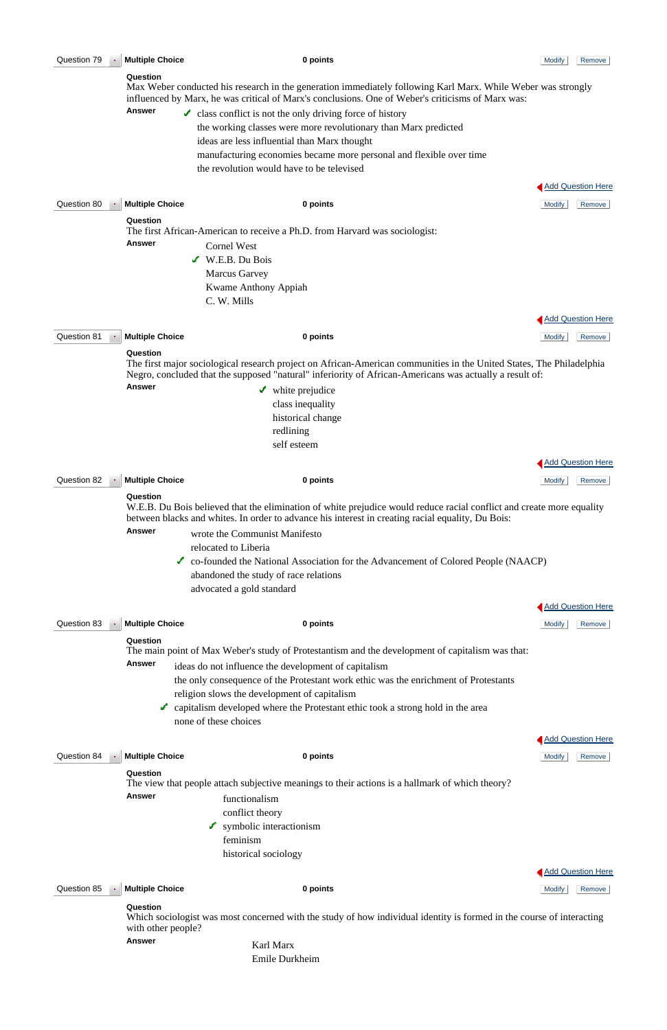| Question 79 | <b>Multiple Choice</b>             | 0 points                                                                                                                                                                                                                                                                                                                                                                                                                                       | <b>Modify</b> | Remove                             |
|-------------|------------------------------------|------------------------------------------------------------------------------------------------------------------------------------------------------------------------------------------------------------------------------------------------------------------------------------------------------------------------------------------------------------------------------------------------------------------------------------------------|---------------|------------------------------------|
|             | Question                           | Max Weber conducted his research in the generation immediately following Karl Marx. While Weber was strongly<br>influenced by Marx, he was critical of Marx's conclusions. One of Weber's criticisms of Marx was:                                                                                                                                                                                                                              |               |                                    |
|             | <b>Answer</b>                      | $\checkmark$ class conflict is not the only driving force of history<br>the working classes were more revolutionary than Marx predicted<br>ideas are less influential than Marx thought<br>manufacturing economies became more personal and flexible over time<br>the revolution would have to be televised                                                                                                                                    |               |                                    |
|             |                                    |                                                                                                                                                                                                                                                                                                                                                                                                                                                |               | <b>Add Question Here</b>           |
| Question 80 | <b>Multiple Choice</b>             | 0 points                                                                                                                                                                                                                                                                                                                                                                                                                                       | <b>Modify</b> | Remove                             |
|             | Question<br><b>Answer</b>          | The first African-American to receive a Ph.D. from Harvard was sociologist:<br><b>Cornel West</b><br>W.E.B. Du Bois<br><b>Marcus Garvey</b><br><b>Kwame Anthony Appiah</b><br>C. W. Mills                                                                                                                                                                                                                                                      |               |                                    |
|             |                                    |                                                                                                                                                                                                                                                                                                                                                                                                                                                |               | <b>Add Question Here</b>           |
| Question 81 | <b>Multiple Choice</b><br>Question | 0 points                                                                                                                                                                                                                                                                                                                                                                                                                                       | <b>Modify</b> | Remove                             |
|             |                                    | The first major sociological research project on African-American communities in the United States, The Philadelphia<br>Negro, concluded that the supposed "natural" inferiority of African-Americans was actually a result of:                                                                                                                                                                                                                |               |                                    |
|             | <b>Answer</b>                      | $\blacktriangleright$ white prejudice<br>class inequality<br>historical change<br>redlining<br>self esteem                                                                                                                                                                                                                                                                                                                                     |               |                                    |
|             |                                    |                                                                                                                                                                                                                                                                                                                                                                                                                                                |               | <b>Add Question Here</b>           |
| Question 82 | <b>Multiple Choice</b>             | 0 points                                                                                                                                                                                                                                                                                                                                                                                                                                       | <b>Modify</b> | Remove                             |
|             | Question<br><b>Answer</b>          | W.E.B. Du Bois believed that the elimination of white prejudice would reduce racial conflict and create more equality<br>between blacks and whites. In order to advance his interest in creating racial equality, Du Bois:<br>wrote the Communist Manifesto<br>relocated to Liberia<br>Co-founded the National Association for the Advancement of Colored People (NAACP)<br>abandoned the study of race relations<br>advocated a gold standard |               |                                    |
| Question 83 | <b>Multiple Choice</b>             | 0 points                                                                                                                                                                                                                                                                                                                                                                                                                                       | <b>Modify</b> | <b>Add Question Here</b><br>Remove |
|             | Question<br><b>Answer</b>          | The main point of Max Weber's study of Protestantism and the development of capitalism was that:<br>ideas do not influence the development of capitalism<br>the only consequence of the Protestant work ethic was the enrichment of Protestants<br>religion slows the development of capitalism<br>capitalism developed where the Protestant ethic took a strong hold in the area<br>none of these choices                                     |               |                                    |
|             |                                    |                                                                                                                                                                                                                                                                                                                                                                                                                                                |               | <b>Add Question Here</b>           |

Answer functionalism conflict theory

 $\bullet$  symbolic interactionism

# **Question**

The view that people attach subjective meanings to their actions is a hallmark of which theory?

feminism

historical sociology

**Question 85 Multiple Choice 0 points 0 points 1 Modify** Remove

Add Question Here

### **Question**

Which sociologist was most concerned with the study of how individual identity is formed in the course of interacting with other people?

Answer Karl Marx

Emile Durkheim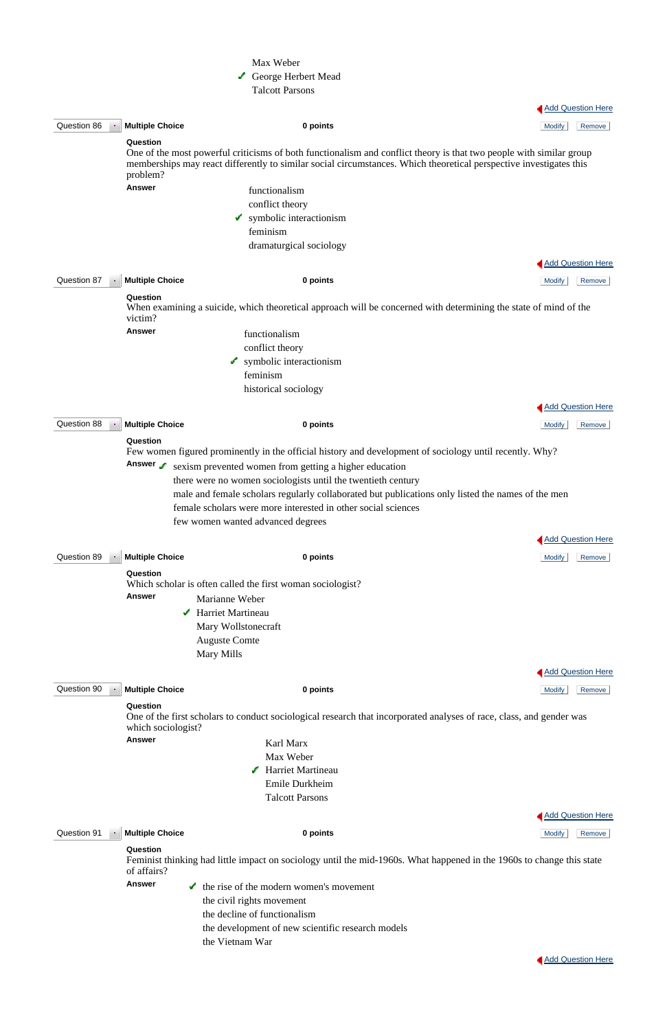|             |                                  | Max Weber                                                                                                                                                                                                                                 |                          |
|-------------|----------------------------------|-------------------------------------------------------------------------------------------------------------------------------------------------------------------------------------------------------------------------------------------|--------------------------|
|             |                                  | George Herbert Mead                                                                                                                                                                                                                       |                          |
|             |                                  | <b>Talcott Parsons</b>                                                                                                                                                                                                                    |                          |
|             |                                  |                                                                                                                                                                                                                                           | Add Question Here        |
| Question 86 | <b>Multiple Choice</b>           | 0 points                                                                                                                                                                                                                                  | <b>Modify</b><br>Remove  |
|             | Question                         |                                                                                                                                                                                                                                           |                          |
|             | problem?                         | One of the most powerful criticisms of both functionalism and conflict theory is that two people with similar group<br>memberships may react differently to similar social circumstances. Which theoretical perspective investigates this |                          |
|             | <b>Answer</b>                    | functionalism                                                                                                                                                                                                                             |                          |
|             |                                  | conflict theory                                                                                                                                                                                                                           |                          |
|             |                                  | $\triangleright$ symbolic interactionism                                                                                                                                                                                                  |                          |
|             |                                  | feminism                                                                                                                                                                                                                                  |                          |
|             |                                  | dramaturgical sociology                                                                                                                                                                                                                   |                          |
|             |                                  |                                                                                                                                                                                                                                           | <b>Add Question Here</b> |
| Question 87 | <b>Multiple Choice</b>           | 0 points                                                                                                                                                                                                                                  | <b>Modify</b><br>Remove  |
|             | Question                         |                                                                                                                                                                                                                                           |                          |
|             | victim?                          | When examining a suicide, which theoretical approach will be concerned with determining the state of mind of the                                                                                                                          |                          |
|             | <b>Answer</b>                    | functionalism                                                                                                                                                                                                                             |                          |
|             |                                  | conflict theory                                                                                                                                                                                                                           |                          |
|             |                                  | symbolic interactionism<br>فالمحمد                                                                                                                                                                                                        |                          |
|             |                                  | feminism                                                                                                                                                                                                                                  |                          |
|             |                                  | historical sociology                                                                                                                                                                                                                      |                          |
|             |                                  |                                                                                                                                                                                                                                           | <b>Add Question Here</b> |
| Question 88 |                                  |                                                                                                                                                                                                                                           |                          |
|             | <b>Multiple Choice</b><br>$\sim$ | 0 points                                                                                                                                                                                                                                  | <b>Modify</b><br>Remove  |
|             | Question                         |                                                                                                                                                                                                                                           |                          |
|             |                                  | Few women figured prominently in the official history and development of sociology until recently. Why?                                                                                                                                   |                          |
|             | Answer                           | sexism prevented women from getting a higher education                                                                                                                                                                                    |                          |
|             |                                  | there were no women sociologists until the twentieth century                                                                                                                                                                              |                          |
|             |                                  | male and female scholars regularly collaborated but publications only listed the names of the men                                                                                                                                         |                          |
|             |                                  | female scholars were more interested in other social sciences                                                                                                                                                                             |                          |
|             |                                  | few women wanted advanced degrees                                                                                                                                                                                                         |                          |
|             |                                  |                                                                                                                                                                                                                                           | <b>Add Question Here</b> |
| Question 89 | <b>Multiple Choice</b>           | 0 points                                                                                                                                                                                                                                  | <b>Modify</b><br>Remove  |
|             | Question                         |                                                                                                                                                                                                                                           |                          |
|             |                                  | Which scholar is often called the first woman sociologist?                                                                                                                                                                                |                          |
|             | <b>Answer</b>                    | Marianne Weber                                                                                                                                                                                                                            |                          |
|             | می                               | Harriet Martineau                                                                                                                                                                                                                         |                          |
|             |                                  | Mary Wollstonecraft                                                                                                                                                                                                                       |                          |
|             |                                  | <b>Auguste Comte</b>                                                                                                                                                                                                                      |                          |
|             |                                  | Mary Mills                                                                                                                                                                                                                                |                          |
|             |                                  |                                                                                                                                                                                                                                           | <b>Add Question Here</b> |
| Question 90 | <b>Multiple Choice</b>           | 0 points                                                                                                                                                                                                                                  | <b>Modify</b><br>Remove  |
|             | Question<br>which sociologist?   | One of the first scholars to conduct sociological research that incorporated analyses of race, class, and gender was                                                                                                                      |                          |

- Max Weber
- Harriet Martineau Emile Durkheim Talcott Parsons



Question 91 **Multiple Choice 0 points** Modify Remove

### **Question**

Feminist thinking had little impact on sociology until the mid-1960s. What happened in the 1960s to change this state of affairs?

Answer **the rise of the modern women's movement** 

 the civil rights movement the decline of functionalism the development of new scientific research models the Vietnam War

Add Question Here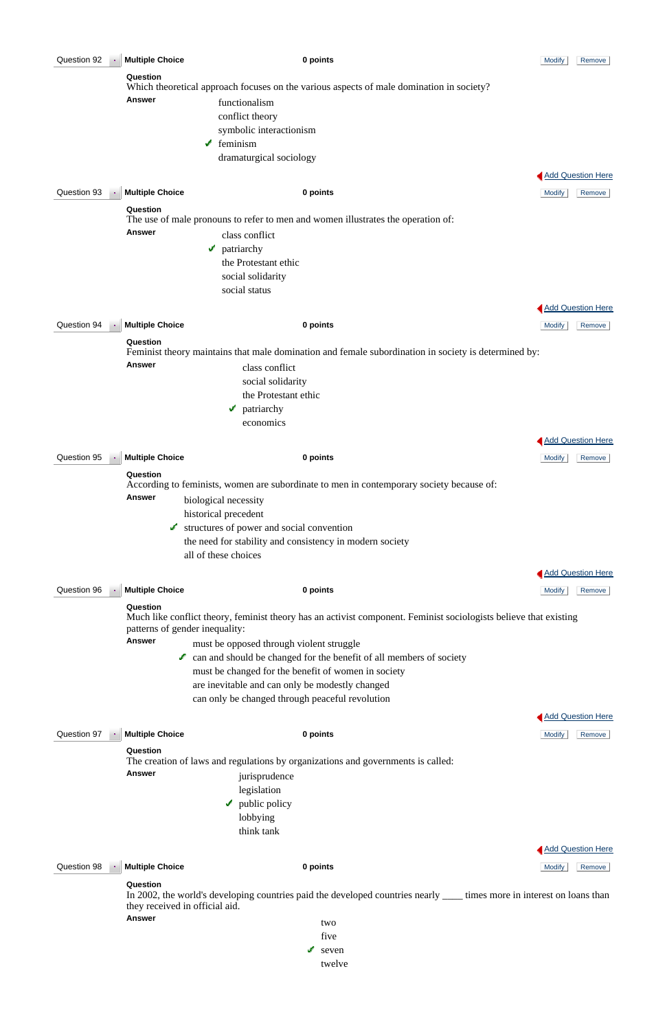| Question 92 |               | <b>Multiple Choice</b>                                                                       | 0 points                                                                                                                               | <b>Modify</b><br>Remove  |
|-------------|---------------|----------------------------------------------------------------------------------------------|----------------------------------------------------------------------------------------------------------------------------------------|--------------------------|
|             |               | Question                                                                                     | Which theoretical approach focuses on the various aspects of male domination in society?                                               |                          |
|             |               | <b>Answer</b><br>functionalism                                                               |                                                                                                                                        |                          |
|             |               | conflict theory                                                                              |                                                                                                                                        |                          |
|             |               | symbolic interactionism<br>feminism<br>v.                                                    |                                                                                                                                        |                          |
|             |               | dramaturgical sociology                                                                      |                                                                                                                                        |                          |
|             |               |                                                                                              |                                                                                                                                        | <b>Add Question Here</b> |
| Question 93 |               | <b>Multiple Choice</b>                                                                       | 0 points                                                                                                                               | <b>Modify</b><br>Remove  |
|             |               | Question<br>The use of male pronouns to refer to men and women illustrates the operation of: |                                                                                                                                        |                          |
|             |               | <b>Answer</b><br>class conflict                                                              |                                                                                                                                        |                          |
|             |               | patriarchy<br>گ                                                                              |                                                                                                                                        |                          |
|             |               | the Protestant ethic<br>social solidarity                                                    |                                                                                                                                        |                          |
|             |               | social status                                                                                |                                                                                                                                        |                          |
|             |               |                                                                                              |                                                                                                                                        | <b>Add Question Here</b> |
| Question 94 |               | <b>Multiple Choice</b>                                                                       | 0 points                                                                                                                               | <b>Modify</b><br>Remove  |
|             |               | Question                                                                                     | Feminist theory maintains that male domination and female subordination in society is determined by:                                   |                          |
|             |               | <b>Answer</b><br>class conflict                                                              |                                                                                                                                        |                          |
|             |               | social solidarity<br>the Protestant ethic                                                    |                                                                                                                                        |                          |
|             |               | patriarchy<br>کی                                                                             |                                                                                                                                        |                          |
|             |               | economics                                                                                    |                                                                                                                                        |                          |
|             |               |                                                                                              |                                                                                                                                        | <b>Add Question Here</b> |
| Question 95 |               | <b>Multiple Choice</b>                                                                       | 0 points                                                                                                                               | <b>Modify</b><br>Remove  |
|             |               | Question                                                                                     | According to feminists, women are subordinate to men in contemporary society because of:                                               |                          |
|             |               | <b>Answer</b><br>biological necessity                                                        |                                                                                                                                        |                          |
|             |               | historical precedent<br>structures of power and social convention<br>v                       |                                                                                                                                        |                          |
|             |               |                                                                                              | the need for stability and consistency in modern society                                                                               |                          |
|             |               | all of these choices                                                                         |                                                                                                                                        |                          |
| Question 96 |               | <b>Multiple Choice</b>                                                                       | 0 points                                                                                                                               | Add Question Here        |
|             |               | Question                                                                                     |                                                                                                                                        | <b>Modify</b><br>Remove  |
|             |               | patterns of gender inequality:                                                               | Much like conflict theory, feminist theory has an activist component. Feminist sociologists believe that existing                      |                          |
|             | <b>Answer</b> | must be opposed through violent struggle                                                     |                                                                                                                                        |                          |
|             |               |                                                                                              | $\triangle$ can and should be changed for the benefit of all members of society<br>must be changed for the benefit of women in society |                          |
|             |               | are inevitable and can only be modestly changed                                              |                                                                                                                                        |                          |
|             |               | can only be changed through peaceful revolution                                              |                                                                                                                                        |                          |
|             |               |                                                                                              |                                                                                                                                        | <b>Add Question Here</b> |
| Question 97 |               | <b>Multiple Choice</b><br>Question                                                           | 0 points                                                                                                                               | <b>Modify</b><br>Remove  |
|             |               | The creation of laws and regulations by organizations and governments is called:             |                                                                                                                                        |                          |
|             |               | <b>Answer</b><br>jurisprudence                                                               |                                                                                                                                        |                          |
|             |               | legislation<br>$\blacktriangleright$ public policy                                           |                                                                                                                                        |                          |
|             |               | lobbying                                                                                     |                                                                                                                                        |                          |
|             |               | think tank                                                                                   |                                                                                                                                        |                          |
| Question 98 |               | <b>Multiple Choice</b>                                                                       | 0 points                                                                                                                               | <b>Add Question Here</b> |
|             |               | Question                                                                                     |                                                                                                                                        | Remove<br><b>Modify</b>  |
|             |               | they received in official aid.                                                               | In 2002, the world's developing countries paid the developed countries nearly _____ times more in interest on loans than               |                          |
|             |               | <b>Answer</b>                                                                                | two                                                                                                                                    |                          |
|             |               |                                                                                              | five<br>seven<br>ے                                                                                                                     |                          |
|             |               |                                                                                              | twelve                                                                                                                                 |                          |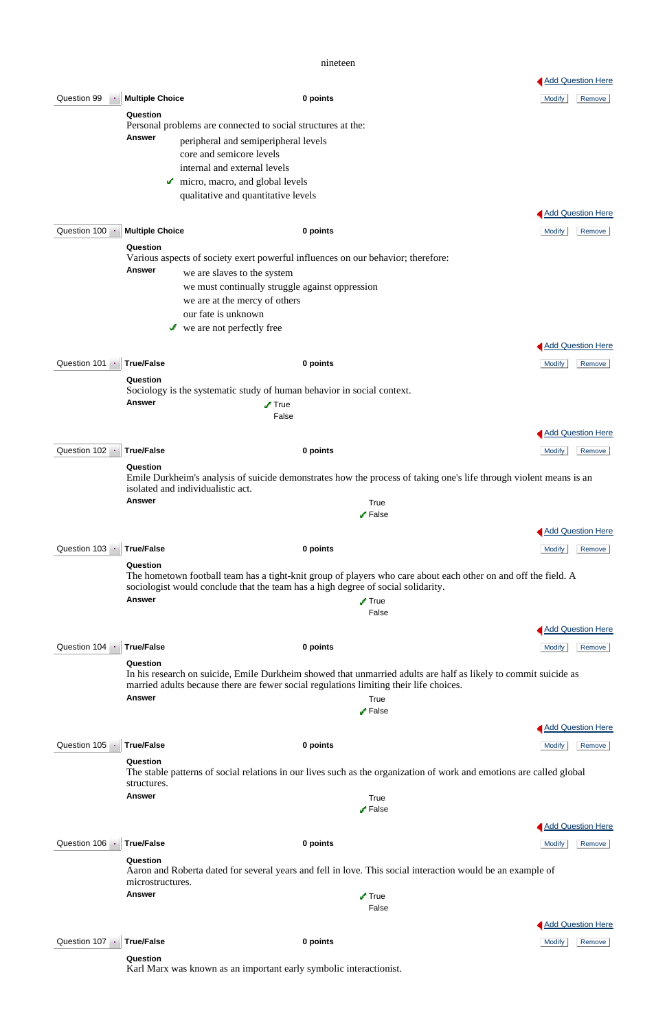nineteen

|                           |                                                                                                                                                         |                                                                                                                                                                                                           | <b>Add Question Here</b> |  |  |  |
|---------------------------|---------------------------------------------------------------------------------------------------------------------------------------------------------|-----------------------------------------------------------------------------------------------------------------------------------------------------------------------------------------------------------|--------------------------|--|--|--|
| Question 99               | <b>Multiple Choice</b>                                                                                                                                  | 0 points                                                                                                                                                                                                  | <b>Modify</b><br>Remove  |  |  |  |
|                           | Question                                                                                                                                                |                                                                                                                                                                                                           |                          |  |  |  |
|                           | <b>Answer</b>                                                                                                                                           | Personal problems are connected to social structures at the:                                                                                                                                              |                          |  |  |  |
|                           |                                                                                                                                                         | peripheral and semiperipheral levels<br>core and semicore levels                                                                                                                                          |                          |  |  |  |
|                           |                                                                                                                                                         | internal and external levels                                                                                                                                                                              |                          |  |  |  |
|                           | v.                                                                                                                                                      | micro, macro, and global levels                                                                                                                                                                           |                          |  |  |  |
|                           |                                                                                                                                                         | qualitative and quantitative levels                                                                                                                                                                       |                          |  |  |  |
|                           |                                                                                                                                                         |                                                                                                                                                                                                           | <b>Add Question Here</b> |  |  |  |
| Question 100 -            | <b>Multiple Choice</b>                                                                                                                                  | 0 points                                                                                                                                                                                                  | <b>Modify</b><br>Remove  |  |  |  |
|                           | Question                                                                                                                                                |                                                                                                                                                                                                           |                          |  |  |  |
|                           |                                                                                                                                                         | Various aspects of society exert powerful influences on our behavior; therefore:                                                                                                                          |                          |  |  |  |
|                           | <b>Answer</b>                                                                                                                                           | we are slaves to the system                                                                                                                                                                               |                          |  |  |  |
|                           |                                                                                                                                                         | we must continually struggle against oppression                                                                                                                                                           |                          |  |  |  |
|                           |                                                                                                                                                         | we are at the mercy of others                                                                                                                                                                             |                          |  |  |  |
|                           |                                                                                                                                                         | our fate is unknown                                                                                                                                                                                       |                          |  |  |  |
|                           |                                                                                                                                                         | $\mathbf{\checkmark}$ we are not perfectly free                                                                                                                                                           |                          |  |  |  |
|                           |                                                                                                                                                         |                                                                                                                                                                                                           | <b>Add Question Here</b> |  |  |  |
| Question 101 -            | <b>True/False</b>                                                                                                                                       | 0 points                                                                                                                                                                                                  | Remove<br><b>Modify</b>  |  |  |  |
|                           | Question                                                                                                                                                |                                                                                                                                                                                                           |                          |  |  |  |
|                           | Sociology is the systematic study of human behavior in social context.                                                                                  |                                                                                                                                                                                                           |                          |  |  |  |
|                           | <b>Answer</b>                                                                                                                                           | $\sqrt{T}$ rue                                                                                                                                                                                            |                          |  |  |  |
|                           |                                                                                                                                                         | False                                                                                                                                                                                                     |                          |  |  |  |
|                           |                                                                                                                                                         |                                                                                                                                                                                                           | <b>Add Question Here</b> |  |  |  |
| Question 102 · True/False |                                                                                                                                                         | 0 points                                                                                                                                                                                                  | Modify Remove            |  |  |  |
|                           | Question                                                                                                                                                |                                                                                                                                                                                                           |                          |  |  |  |
|                           | Emile Durkheim's analysis of suicide demonstrates how the process of taking one's life through violent means is an<br>isolated and individualistic act. |                                                                                                                                                                                                           |                          |  |  |  |
|                           | <b>Answer</b>                                                                                                                                           | True                                                                                                                                                                                                      |                          |  |  |  |
|                           |                                                                                                                                                         | $\sqrt{ }$ False                                                                                                                                                                                          |                          |  |  |  |
|                           |                                                                                                                                                         |                                                                                                                                                                                                           | Add Question Here        |  |  |  |
| Question 103              | <b>True/False</b>                                                                                                                                       | 0 points                                                                                                                                                                                                  | <b>Modify</b><br>Remove  |  |  |  |
|                           | Question                                                                                                                                                |                                                                                                                                                                                                           |                          |  |  |  |
|                           |                                                                                                                                                         | The hometown football team has a tight-knit group of players who care about each other on and off the field. A<br>sociologist would conclude that the team has a high degree of social solidarity.        |                          |  |  |  |
|                           | <b>Answer</b>                                                                                                                                           | $\sqrt{ }$ True                                                                                                                                                                                           |                          |  |  |  |
|                           |                                                                                                                                                         | False                                                                                                                                                                                                     |                          |  |  |  |
|                           |                                                                                                                                                         |                                                                                                                                                                                                           | <b>Add Question Here</b> |  |  |  |
| Question 104              |                                                                                                                                                         |                                                                                                                                                                                                           |                          |  |  |  |
|                           | <b>True/False</b>                                                                                                                                       | 0 points                                                                                                                                                                                                  | Modify<br>Remove         |  |  |  |
|                           | Question                                                                                                                                                | In his research on suicide, Emile Durkheim showed that unmarried adults are half as likely to commit suicide as<br>married adults because there are fewer social regulations limiting their life choices. |                          |  |  |  |
|                           | <b>Answer</b>                                                                                                                                           | True                                                                                                                                                                                                      |                          |  |  |  |
|                           |                                                                                                                                                         | $\blacktriangleright$ False                                                                                                                                                                               |                          |  |  |  |
|                           |                                                                                                                                                         |                                                                                                                                                                                                           | <b>Add Question Here</b> |  |  |  |

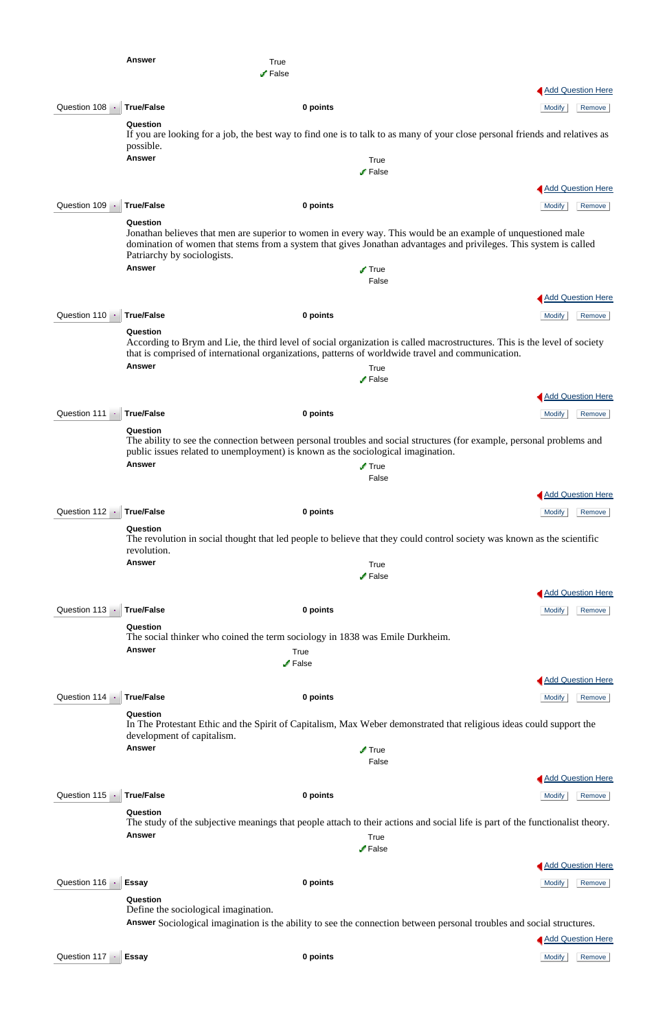|                | <b>Answer</b>                           | True<br>$\sqrt{ }$ False                                                                                                     |                                                                                                                                                                                                                                   |
|----------------|-----------------------------------------|------------------------------------------------------------------------------------------------------------------------------|-----------------------------------------------------------------------------------------------------------------------------------------------------------------------------------------------------------------------------------|
|                |                                         |                                                                                                                              | <b>Add Question Here</b>                                                                                                                                                                                                          |
| Question 108 - | <b>True/False</b>                       | 0 points                                                                                                                     | <b>Modify</b><br>Remove                                                                                                                                                                                                           |
|                | Question<br>possible.                   |                                                                                                                              | If you are looking for a job, the best way to find one is to talk to as many of your close personal friends and relatives as                                                                                                      |
|                | <b>Answer</b>                           | True                                                                                                                         |                                                                                                                                                                                                                                   |
|                |                                         | $\sqrt{\ }$ False                                                                                                            |                                                                                                                                                                                                                                   |
|                |                                         |                                                                                                                              | <b>Add Question Here</b>                                                                                                                                                                                                          |
| Question 109   | <b>True/False</b>                       | 0 points                                                                                                                     | <b>Modify</b><br>Remove                                                                                                                                                                                                           |
|                | Question<br>Patriarchy by sociologists. |                                                                                                                              | Jonathan believes that men are superior to women in every way. This would be an example of unquestioned male<br>domination of women that stems from a system that gives Jonathan advantages and privileges. This system is called |
|                | <b>Answer</b>                           | $\sqrt{ }$ True<br>False                                                                                                     |                                                                                                                                                                                                                                   |
|                |                                         |                                                                                                                              | <b>Add Question Here</b>                                                                                                                                                                                                          |
| Question 110 · | <b>True/False</b>                       | 0 points                                                                                                                     | <b>Modify</b><br>Remove                                                                                                                                                                                                           |
|                | Question                                |                                                                                                                              |                                                                                                                                                                                                                                   |
|                | <b>Answer</b>                           | that is comprised of international organizations, patterns of worldwide travel and communication.<br>True<br>$\sqrt{}$ False | According to Brym and Lie, the third level of social organization is called macrostructures. This is the level of society                                                                                                         |
|                |                                         |                                                                                                                              | <b>Add Question Here</b>                                                                                                                                                                                                          |
| Question 111   | <b>True/False</b>                       | 0 points                                                                                                                     | Modify<br>Remove                                                                                                                                                                                                                  |
|                | Question<br><b>Answer</b>               | public issues related to unemployment) is known as the sociological imagination.<br>$\sqrt{ }$ True<br>False                 | The ability to see the connection between personal troubles and social structures (for example, personal problems and                                                                                                             |
|                |                                         |                                                                                                                              | <b>Add Question Here</b>                                                                                                                                                                                                          |
| Question 112 - | <b>True/False</b>                       | 0 points                                                                                                                     | <b>Modify</b><br>Remove                                                                                                                                                                                                           |
|                | Question<br>revolution.                 |                                                                                                                              | The revolution in social thought that led people to believe that they could control society was known as the scientific                                                                                                           |
|                | <b>Answer</b>                           | True                                                                                                                         |                                                                                                                                                                                                                                   |
|                |                                         | $\sqrt{ }$ False                                                                                                             |                                                                                                                                                                                                                                   |
|                |                                         |                                                                                                                              | <b>Add Question Here</b>                                                                                                                                                                                                          |
| Question 113 - | <b>True/False</b>                       | 0 points                                                                                                                     | <b>Modify</b><br>Remove                                                                                                                                                                                                           |
|                | Question<br><b>Answer</b>               | The social thinker who coined the term sociology in 1838 was Emile Durkheim.<br>True                                         |                                                                                                                                                                                                                                   |
|                |                                         | $\sqrt{\ }$ False                                                                                                            |                                                                                                                                                                                                                                   |
|                |                                         |                                                                                                                              | <b>Add Question Here</b>                                                                                                                                                                                                          |
| Question 114 - | <b>True/False</b>                       | 0 points                                                                                                                     | Remove<br><b>Modify</b>                                                                                                                                                                                                           |
|                | Question<br>development of capitalism.  |                                                                                                                              | In The Protestant Ethic and the Spirit of Capitalism, Max Weber demonstrated that religious ideas could support the                                                                                                               |

**Answer** True

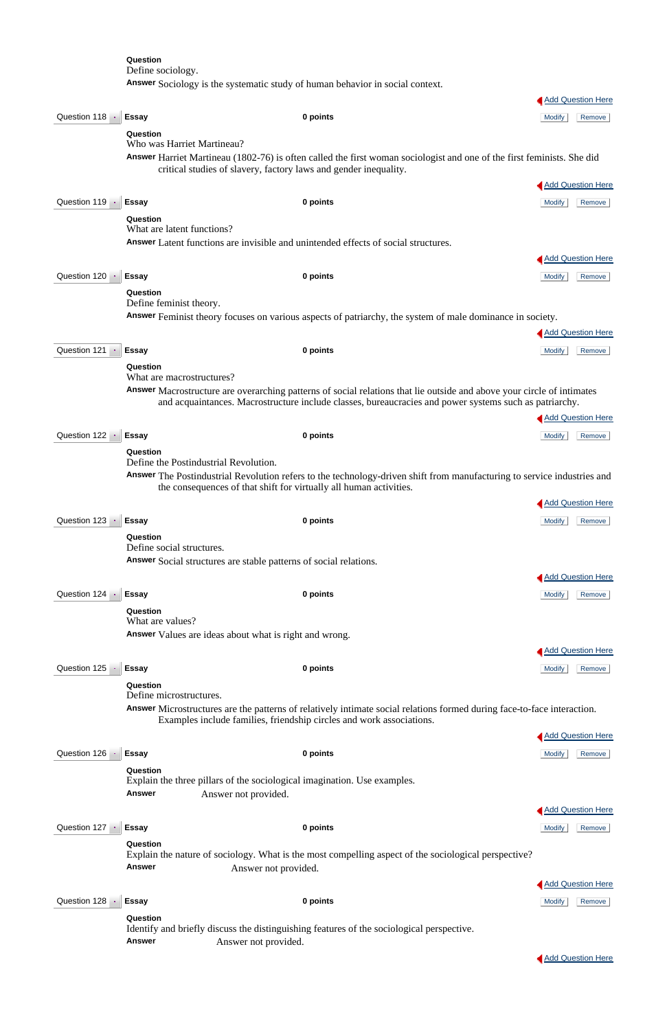**Question** Define sociology. **Answer** Sociology is the systematic study of human behavior in social context. **Add Question Here** Question 118 **Essay D 0 points 0 and 118** Modify Remove **Question** Who was Harriet Martineau? **Answer** Harriet Martineau (1802-76) is often called the first woman sociologist and one of the first feminists. She did critical studies of slavery, factory laws and gender inequality. **Add Question Here Question 119 · Essay State Construction Construction Construction Construction Construction Construction Construction Remove Question** What are latent functions? **Answer** Latent functions are invisible and unintended effects of social structures. **Add Question Here** Question 120 **Essay 120 <b>Essay 1 C 2 0 points 120** *Modify* Remove **Question** Define feminist theory. **Answer** Feminist theory focuses on various aspects of patriarchy, the system of male dominance in society. **Add Question Here Question 121 · Essay Community Community Community Community Remove Branch** Remove **Question** What are macrostructures? **Answer** Macrostructure are overarching patterns of social relations that lie outside and above your circle of intimates and acquaintances. Macrostructure include classes, bureaucracies and power systems such as patriarchy. **Add Question Here Question 122 · Essay Character Community Community Community Community Community Remove Question** Define the Postindustrial Revolution. **Answer** The Postindustrial Revolution refers to the technology-driven shift from manufacturing to service industries and the consequences of that shift for virtually all human activities. **Add Question Here** Question 123 **Essay Remove Constructs Constructs 0 points 0 points 2 and 2 and 2 and 2 and 2 and 2 and 2 and 2 and 2 and 2 and 2 and 2 and 2 and 2 and 2 and 2 and 2 and 2 and 2 and 2 and 2 and 2 and 2 and 2 and 2 and Question** Define social structures. **Answer** Social structures are stable patterns of social relations. Add Question Here Question 124 **Essay 124 BESAY 1 Essay 0 points 124 CONFIDENTIAL REMOVE Remove Question** What are values? **Answer** Values are ideas about what is right and wrong. **Add Question Here Question 125 · Essay Character Community Community Community Community Community Remove Question** Define microstructures. **Answer** Microstructures are the patterns of relatively intimate social relations formed during face-to-face interaction. Examples include families, friendship circles and work associations. **Add Question Here** 

Question 127 **Essay 128 Essay 1 C 2 0 points 127 Example 20 Modify** Remove **Question** Explain the nature of sociology. What is the most compelling aspect of the sociological perspective? **Answer** Answer not provided. Add Question Here Question 128 **Essay Essay 0 points 0 and 128 and 128 and 128 Expanding Remove Question** Identify and briefly discuss the distinguishing features of the sociological perspective. **Answer** Answer not provided.

**Add Question Here** 

**Add Question Here** 

#### **Question**

Explain the three pillars of the sociological imagination. Use examples.

**Answer** Answer not provided.